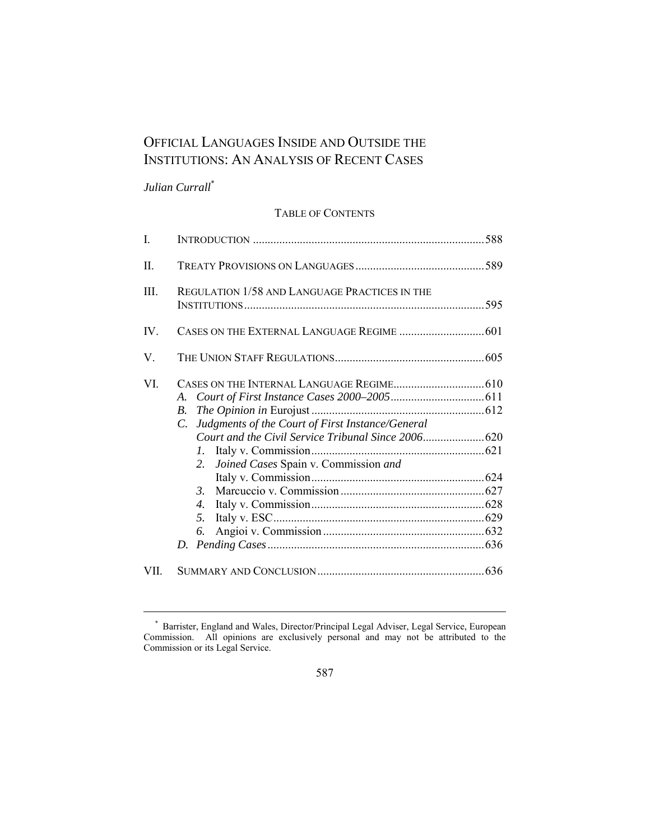# OFFICIAL LANGUAGES INSIDE AND OUTSIDE THE INSTITUTIONS: AN ANALYSIS OF RECENT CASES

# *Julian Currall*\*

 $\overline{a}$ 

## TABLE OF CONTENTS

| $\mathbf{I}$ |                                                                                                                               |  |
|--------------|-------------------------------------------------------------------------------------------------------------------------------|--|
| II.          |                                                                                                                               |  |
| Ш.           | REGULATION 1/58 AND LANGUAGE PRACTICES IN THE                                                                                 |  |
| IV.          |                                                                                                                               |  |
| V.           |                                                                                                                               |  |
| VI.          | B.<br>Judgments of the Court of First Instance/General<br>C.<br>$\mathcal{I}$ .<br>Joined Cases Spain v. Commission and<br>2. |  |
|              | $\mathfrak{Z}$<br>$\overline{4}$ .<br>5.<br>6.                                                                                |  |
| VII.         |                                                                                                                               |  |

587

 <sup>\*</sup> Barrister, England and Wales, Director/Principal Legal Adviser, Legal Service, European Commission. All opinions are exclusively personal and may not be attributed to the Commission or its Legal Service.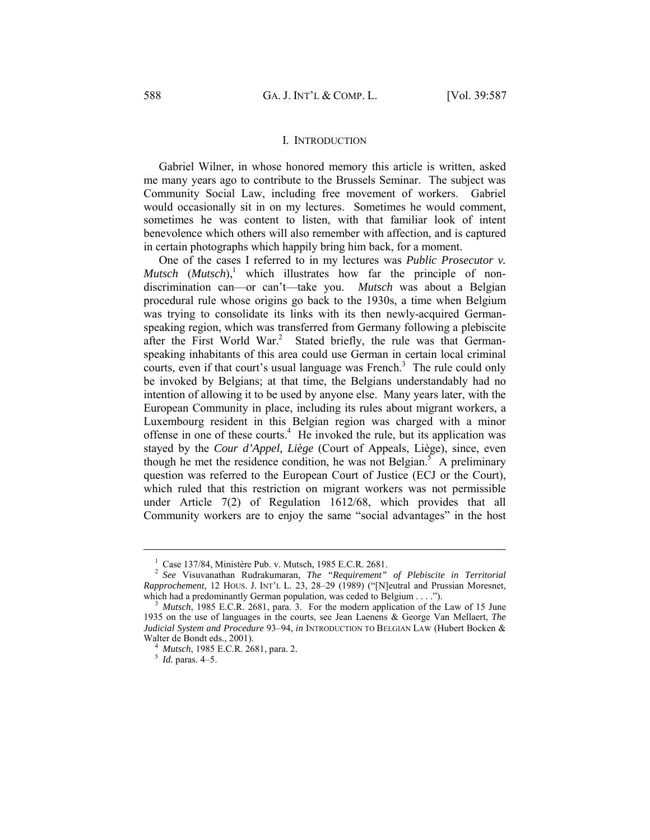#### I. INTRODUCTION

Gabriel Wilner, in whose honored memory this article is written, asked me many years ago to contribute to the Brussels Seminar. The subject was Community Social Law, including free movement of workers. Gabriel would occasionally sit in on my lectures. Sometimes he would comment, sometimes he was content to listen, with that familiar look of intent benevolence which others will also remember with affection, and is captured in certain photographs which happily bring him back, for a moment.

One of the cases I referred to in my lectures was *Public Prosecutor v. Mutsch*  $(Mutsch)$ , which illustrates how far the principle of nondiscrimination can—or can't—take you. *Mutsch* was about a Belgian procedural rule whose origins go back to the 1930s, a time when Belgium was trying to consolidate its links with its then newly-acquired Germanspeaking region, which was transferred from Germany following a plebiscite after the First World War.<sup>2</sup> Stated briefly, the rule was that Germanspeaking inhabitants of this area could use German in certain local criminal courts, even if that court's usual language was French.<sup>3</sup> The rule could only be invoked by Belgians; at that time, the Belgians understandably had no intention of allowing it to be used by anyone else. Many years later, with the European Community in place, including its rules about migrant workers, a Luxembourg resident in this Belgian region was charged with a minor offense in one of these courts.<sup>4</sup> He invoked the rule, but its application was stayed by the *Cour d'Appel, Liège* (Court of Appeals, Liège), since, even though he met the residence condition, he was not Belgian.<sup>5</sup> A preliminary question was referred to the European Court of Justice (ECJ or the Court), which ruled that this restriction on migrant workers was not permissible under Article 7(2) of Regulation 1612/68, which provides that all Community workers are to enjoy the same "social advantages" in the host

 $\frac{1}{1}$ Case 137/84, Ministère Pub. v. Mutsch, 1985 E.C.R. 2681.

<sup>2</sup> *See* Visuvanathan Rudrakumaran, *The "Requirement" of Plebiscite in Territorial Rapprochement*, 12 HOUS. J. INT'L L. 23, 28–29 (1989) ("[N]eutral and Prussian Moresnet, which had a predominantly German population, was ceded to Belgium . . . .").<br><sup>3</sup> *Mutsch*, 1985 E.C.R. 2681, para. 3. For the modern application of the Law of 15 June

<sup>1935</sup> on the use of languages in the courts, see Jean Laenens & George Van Mellaert, *The Judicial System and Procedure* 93–94, *in* INTRODUCTION TO BELGIAN LAW (Hubert Bocken & Walter de Bondt eds., 2001). 4 *Mutsch*, 1985 E.C.R. 2681, para. 2. 5 *Id.* paras. 4–5.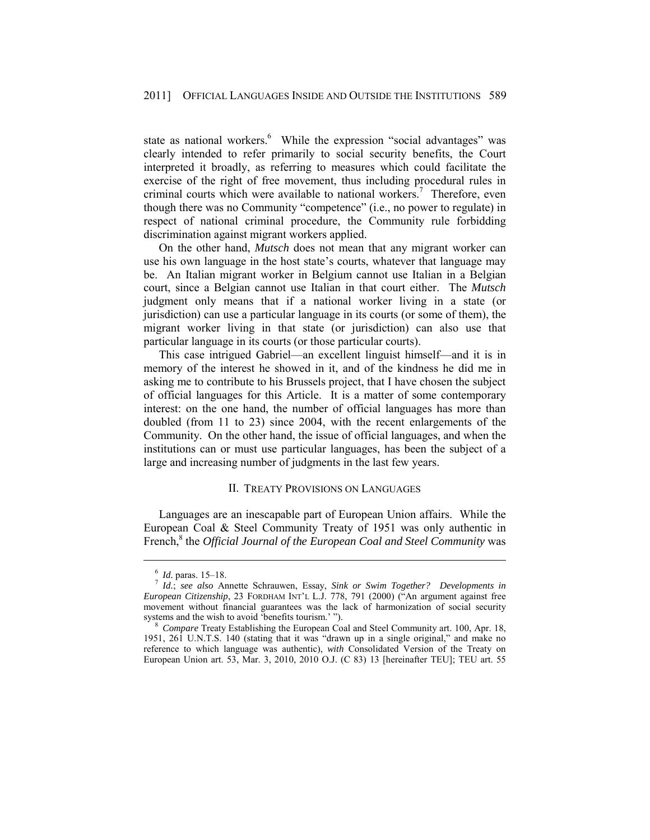state as national workers.<sup>6</sup> While the expression "social advantages" was clearly intended to refer primarily to social security benefits, the Court interpreted it broadly, as referring to measures which could facilitate the exercise of the right of free movement, thus including procedural rules in criminal courts which were available to national workers.<sup>7</sup> Therefore, even though there was no Community "competence" (i.e., no power to regulate) in respect of national criminal procedure, the Community rule forbidding discrimination against migrant workers applied.

On the other hand, *Mutsch* does not mean that any migrant worker can use his own language in the host state's courts, whatever that language may be. An Italian migrant worker in Belgium cannot use Italian in a Belgian court, since a Belgian cannot use Italian in that court either. The *Mutsch* judgment only means that if a national worker living in a state (or jurisdiction) can use a particular language in its courts (or some of them), the migrant worker living in that state (or jurisdiction) can also use that particular language in its courts (or those particular courts).

This case intrigued Gabriel—an excellent linguist himself—and it is in memory of the interest he showed in it, and of the kindness he did me in asking me to contribute to his Brussels project, that I have chosen the subject of official languages for this Article. It is a matter of some contemporary interest: on the one hand, the number of official languages has more than doubled (from 11 to 23) since 2004, with the recent enlargements of the Community. On the other hand, the issue of official languages, and when the institutions can or must use particular languages, has been the subject of a large and increasing number of judgments in the last few years.

#### II. TREATY PROVISIONS ON LANGUAGES

Languages are an inescapable part of European Union affairs. While the European Coal & Steel Community Treaty of 1951 was only authentic in French,<sup>8</sup> the *Official Journal of the European Coal and Steel Community* was

<sup>6</sup> *Id.* paras. 15–18. 7 *Id.*; *see also* Annette Schrauwen, Essay, *Sink or Swim Together? Developments in European Citizenship*, 23 FORDHAM INT'L L.J. 778, 791 (2000) ("An argument against free movement without financial guarantees was the lack of harmonization of social security systems and the wish to avoid 'benefits tourism.' ").

<sup>&</sup>lt;sup>3</sup> Compare Treaty Establishing the European Coal and Steel Community art. 100, Apr. 18, 1951, 261 U.N.T.S. 140 (stating that it was "drawn up in a single original," and make no reference to which language was authentic), *with* Consolidated Version of the Treaty on European Union art. 53, Mar. 3, 2010, 2010 O.J. (C 83) 13 [hereinafter TEU]; TEU art. 55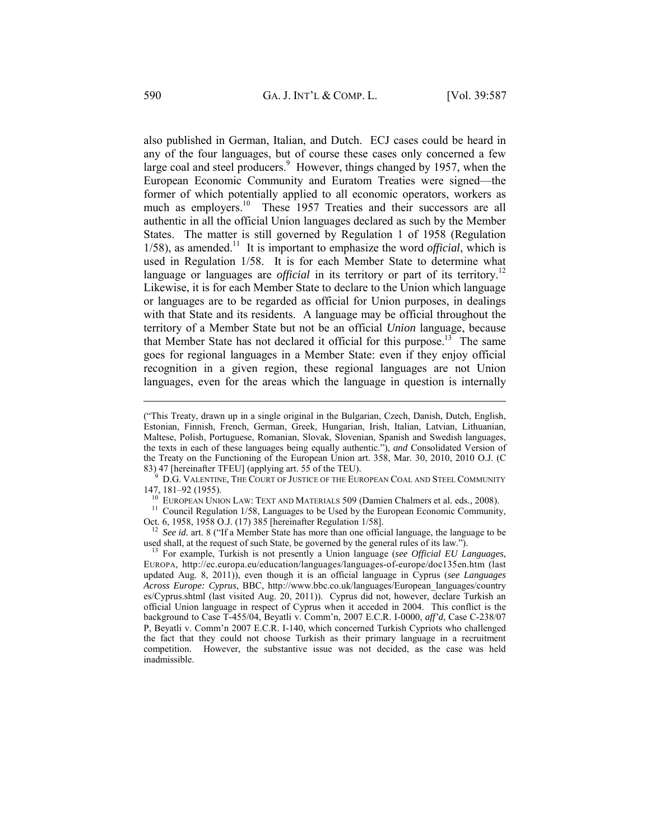also published in German, Italian, and Dutch. ECJ cases could be heard in any of the four languages, but of course these cases only concerned a few large coal and steel producers.<sup>9</sup> However, things changed by 1957, when the European Economic Community and Euratom Treaties were signed—the former of which potentially applied to all economic operators, workers as much as employers.<sup>10</sup> These 1957 Treaties and their successors are all authentic in all the official Union languages declared as such by the Member States. The matter is still governed by Regulation 1 of 1958 (Regulation  $1/58$ ), as amended.<sup>11</sup> It is important to emphasize the word *official*, which is used in Regulation 1/58. It is for each Member State to determine what language or languages are *official* in its territory or part of its territory.<sup>12</sup> Likewise, it is for each Member State to declare to the Union which language or languages are to be regarded as official for Union purposes, in dealings with that State and its residents. A language may be official throughout the territory of a Member State but not be an official *Union* language, because that Member State has not declared it official for this purpose.<sup>13</sup> The same goes for regional languages in a Member State: even if they enjoy official recognition in a given region, these regional languages are not Union languages, even for the areas which the language in question is internally

<sup>9</sup> D.G. VALENTINE, THE COURT OF JUSTICE OF THE EUROPEAN COAL AND STEEL COMMUNITY 147, 181–92 (1955).

<sup>10</sup> EUROPEAN UNION LAW: TEXT AND MATERIALS 509 (Damien Chalmers et al. eds., 2008).<br><sup>11</sup> Council Regulation 1/58, Languages to be Used by the European Economic Community,

Oct. 6, 1958, 1958 O.J. (17) 385 [hereinafter Regulation 1/58].<br><sup>12</sup> *See id.* art. 8 ("If a Member State has more than one official language, the language to be used shall, at the request of such State, be governed by the

<sup>13</sup> For example, Turkish is not presently a Union language (see Official EU Languages, EUROPA, http://ec.europa.eu/education/languages/languages-of-europe/doc135en.htm (last updated Aug. 8, 2011)), even though it is an official language in Cyprus (*see Languages Across Europe: Cyprus*, BBC, http://www.bbc.co.uk/languages/European\_languages/country es/Cyprus.shtml (last visited Aug. 20, 2011)). Cyprus did not, however, declare Turkish an official Union language in respect of Cyprus when it acceded in 2004. This conflict is the background to Case T-455/04, Beyatli v. Comm'n, 2007 E.C.R. I-0000, *aff'd*, Case C-238/07 P, Beyatli v. Comm'n 2007 E.C.R. I-140, which concerned Turkish Cypriots who challenged the fact that they could not choose Turkish as their primary language in a recruitment competition. However, the substantive issue was not decided, as the case was held inadmissible.

<sup>(&</sup>quot;This Treaty, drawn up in a single original in the Bulgarian, Czech, Danish, Dutch, English, Estonian, Finnish, French, German, Greek, Hungarian, Irish, Italian, Latvian, Lithuanian, Maltese, Polish, Portuguese, Romanian, Slovak, Slovenian, Spanish and Swedish languages, the texts in each of these languages being equally authentic."), *and* Consolidated Version of the Treaty on the Functioning of the European Union art. 358, Mar. 30, 2010, 2010 O.J. (C 83) 47 [hereinafter TFEU] (applying art. 55 of the TEU).<br>9 D.G. VALENTEUR COURT OF LIGENCE OF THE TEU.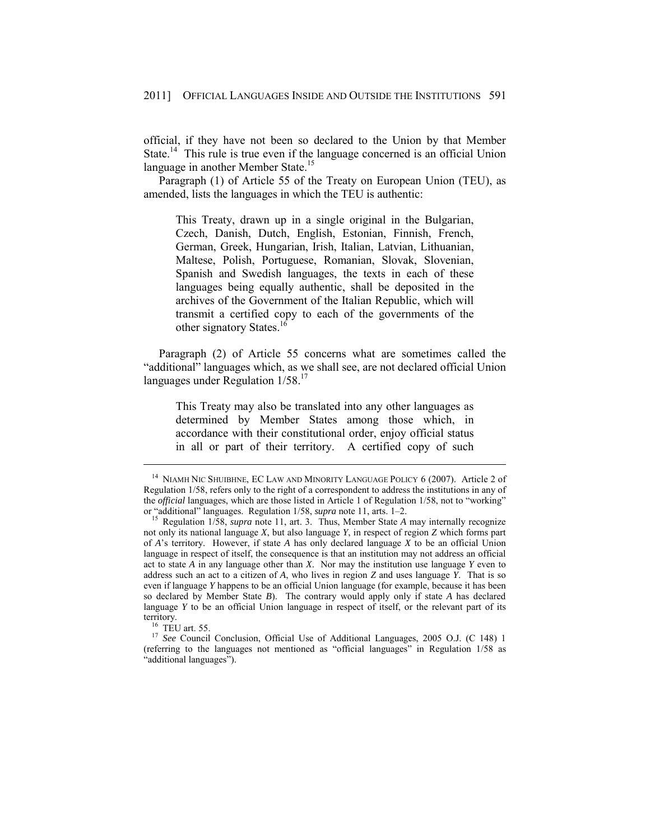official, if they have not been so declared to the Union by that Member State.<sup>14</sup> This rule is true even if the language concerned is an official Union language in another Member State.<sup>15</sup>

Paragraph (1) of Article 55 of the Treaty on European Union (TEU), as amended, lists the languages in which the TEU is authentic:

This Treaty, drawn up in a single original in the Bulgarian, Czech, Danish, Dutch, English, Estonian, Finnish, French, German, Greek, Hungarian, Irish, Italian, Latvian, Lithuanian, Maltese, Polish, Portuguese, Romanian, Slovak, Slovenian, Spanish and Swedish languages, the texts in each of these languages being equally authentic, shall be deposited in the archives of the Government of the Italian Republic, which will transmit a certified copy to each of the governments of the other signatory States.<sup>16</sup>

Paragraph (2) of Article 55 concerns what are sometimes called the "additional" languages which, as we shall see, are not declared official Union languages under Regulation  $1/58$ <sup>17</sup>

This Treaty may also be translated into any other languages as determined by Member States among those which, in accordance with their constitutional order, enjoy official status in all or part of their territory. A certified copy of such

<sup>&</sup>lt;sup>14</sup> NIAMH NIC SHUIBHNE, EC LAW AND MINORITY LANGUAGE POLICY 6 (2007). Article 2 of Regulation 1/58, refers only to the right of a correspondent to address the institutions in any of the *official* languages, which are those listed in Article 1 of Regulation 1/58, not to "working" or "additional" languages. Regulation 1/58, *supra* note 11, arts. 1–2.<br><sup>15</sup> Regulation 1/58, *supra* note 11, art. 3. Thus, Member State *A* may internally recognize

not only its national language *X*, but also language *Y*, in respect of region *Z* which forms part of *A*'s territory. However, if state *A* has only declared language *X* to be an official Union language in respect of itself, the consequence is that an institution may not address an official act to state *A* in any language other than *X*. Nor may the institution use language *Y* even to address such an act to a citizen of *A*, who lives in region *Z* and uses language *Y*. That is so even if language *Y* happens to be an official Union language (for example, because it has been so declared by Member State *B*). The contrary would apply only if state *A* has declared language *Y* to be an official Union language in respect of itself, or the relevant part of its territory.

<sup>&</sup>lt;sup>16</sup> TEU art. 55. 17 *See* Council Conclusion, Official Use of Additional Languages, 2005 O.J. (C 148) 1 (referring to the languages not mentioned as "official languages" in Regulation 1/58 as "additional languages").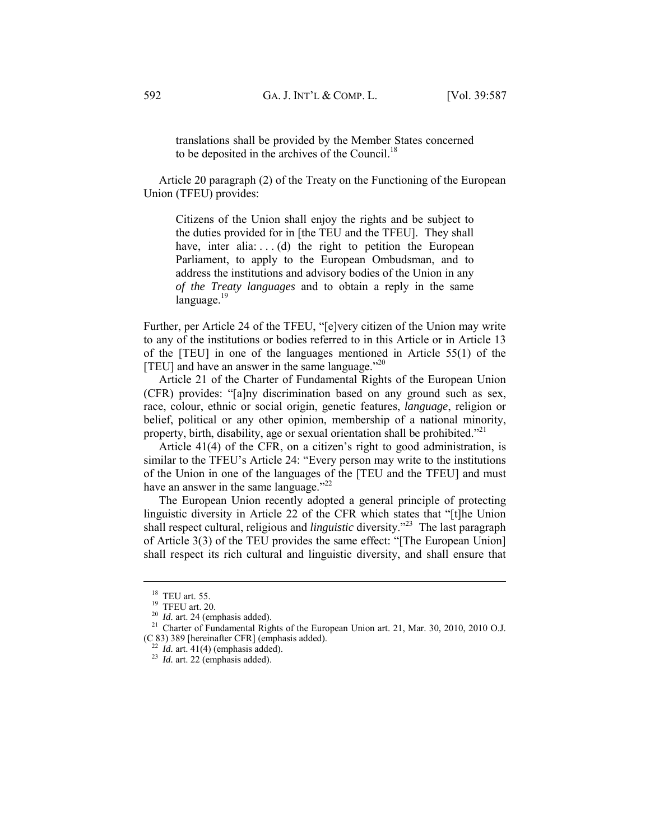translations shall be provided by the Member States concerned to be deposited in the archives of the Council.<sup>18</sup>

Article 20 paragraph (2) of the Treaty on the Functioning of the European Union (TFEU) provides:

Citizens of the Union shall enjoy the rights and be subject to the duties provided for in [the TEU and the TFEU]. They shall have, inter alia:  $\dots$  (d) the right to petition the European Parliament, to apply to the European Ombudsman, and to address the institutions and advisory bodies of the Union in any *of the Treaty languages* and to obtain a reply in the same  $lanquaze.<sup>19</sup>$ 

Further, per Article 24 of the TFEU, "[e]very citizen of the Union may write to any of the institutions or bodies referred to in this Article or in Article 13 of the [TEU] in one of the languages mentioned in Article 55(1) of the [TEU] and have an answer in the same language. $120$ 

Article 21 of the Charter of Fundamental Rights of the European Union (CFR) provides: "[a]ny discrimination based on any ground such as sex, race, colour, ethnic or social origin, genetic features, *language*, religion or belief, political or any other opinion, membership of a national minority, property, birth, disability, age or sexual orientation shall be prohibited."<sup>21</sup>

Article 41(4) of the CFR, on a citizen's right to good administration, is similar to the TFEU's Article 24: "Every person may write to the institutions of the Union in one of the languages of the [TEU and the TFEU] and must have an answer in the same language."<sup>22</sup>

The European Union recently adopted a general principle of protecting linguistic diversity in Article 22 of the CFR which states that "[t]he Union shall respect cultural, religious and *linguistic* diversity."23 The last paragraph of Article 3(3) of the TEU provides the same effect: "[The European Union] shall respect its rich cultural and linguistic diversity, and shall ensure that

<sup>&</sup>lt;sup>18</sup> TEU art. 55.<br><sup>19</sup> TFEU art. 20.<br><sup>20</sup> *Id.* art. 24 (emphasis added).<br><sup>21</sup> Charter of Fundamental Rights of the European Union art. 21, Mar. 30, 2010, 2010 O.J. (C 83) 389 [hereinafter CFR] (emphasis added). 22 *Id.* art. 41(4) (emphasis added). 23 *Id.* art. 22 (emphasis added).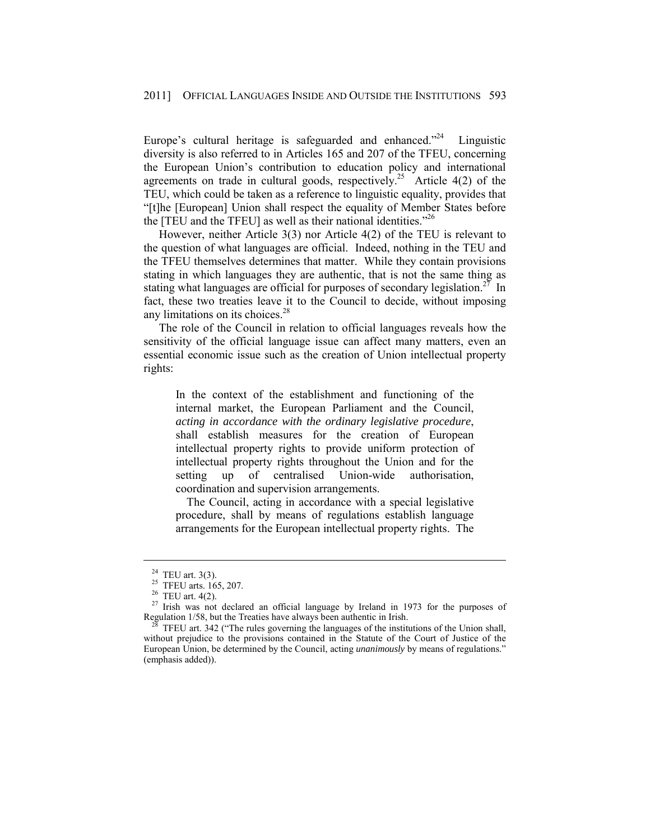Europe's cultural heritage is safeguarded and enhanced. $2^{24}$  Linguistic diversity is also referred to in Articles 165 and 207 of the TFEU, concerning the European Union's contribution to education policy and international agreements on trade in cultural goods, respectively.<sup>25</sup> Article 4(2) of the TEU, which could be taken as a reference to linguistic equality, provides that "[t]he [European] Union shall respect the equality of Member States before the [TEU and the TFEU] as well as their national identities."<sup>26</sup>

However, neither Article 3(3) nor Article 4(2) of the TEU is relevant to the question of what languages are official. Indeed, nothing in the TEU and the TFEU themselves determines that matter. While they contain provisions stating in which languages they are authentic, that is not the same thing as stating what languages are official for purposes of secondary legislation.<sup>27</sup> In fact, these two treaties leave it to the Council to decide, without imposing any limitations on its choices.28

The role of the Council in relation to official languages reveals how the sensitivity of the official language issue can affect many matters, even an essential economic issue such as the creation of Union intellectual property rights:

In the context of the establishment and functioning of the internal market, the European Parliament and the Council, *acting in accordance with the ordinary legislative procedure*, shall establish measures for the creation of European intellectual property rights to provide uniform protection of intellectual property rights throughout the Union and for the setting up of centralised Union-wide authorisation, coordination and supervision arrangements.

 The Council, acting in accordance with a special legislative procedure, shall by means of regulations establish language arrangements for the European intellectual property rights. The

<sup>&</sup>lt;sup>24</sup> TEU art. 3(3).<br><sup>25</sup> TFEU arts. 165, 207.<br><sup>26</sup> TEU art. 4(2).

<sup>&</sup>lt;sup>27</sup> Irish was not declared an official language by Ireland in 1973 for the purposes of Regulation  $1/58$ , but the Treaties have always been authentic in Irish.

TFEU art. 342 ("The rules governing the languages of the institutions of the Union shall, without prejudice to the provisions contained in the Statute of the Court of Justice of the European Union, be determined by the Council, acting *unanimously* by means of regulations." (emphasis added)).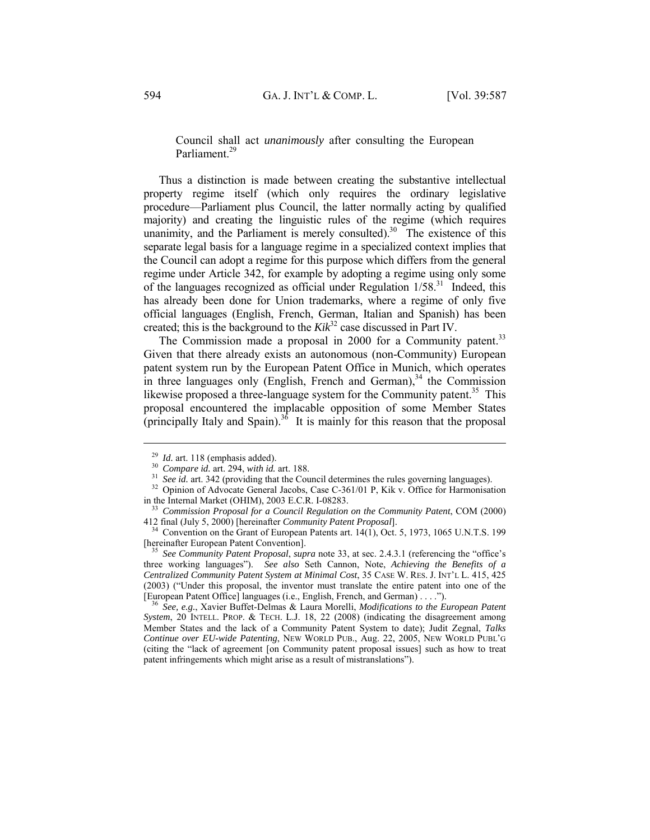Council shall act *unanimously* after consulting the European Parliament.<sup>29</sup>

Thus a distinction is made between creating the substantive intellectual property regime itself (which only requires the ordinary legislative procedure—Parliament plus Council, the latter normally acting by qualified majority) and creating the linguistic rules of the regime (which requires unanimity, and the Parliament is merely consulted).<sup>30</sup> The existence of this separate legal basis for a language regime in a specialized context implies that the Council can adopt a regime for this purpose which differs from the general regime under Article 342, for example by adopting a regime using only some of the languages recognized as official under Regulation  $1/58$ <sup>31</sup>. Indeed, this has already been done for Union trademarks, where a regime of only five official languages (English, French, German, Italian and Spanish) has been created; this is the background to the *Kik*32 case discussed in Part IV.

The Commission made a proposal in 2000 for a Community patent.<sup>33</sup> Given that there already exists an autonomous (non-Community) European patent system run by the European Patent Office in Munich, which operates in three languages only (English, French and German),<sup>34</sup> the Commission likewise proposed a three-language system for the Community patent.<sup>35</sup> This proposal encountered the implacable opposition of some Member States (principally Italy and Spain).<sup>36</sup> It is mainly for this reason that the proposal

<sup>&</sup>lt;sup>29</sup> *Id.* art. 118 (emphasis added).<br><sup>30</sup> *Compare id.* art. 294, *with id.* art. 188.<br><sup>31</sup> *See id.* art. 342 (providing that the Council determines the rules governing languages).<br><sup>32</sup> Opinion of Advocate General Jacob

<sup>&</sup>lt;sup>33</sup> Commission Proposal for a Council Regulation on the Community Patent, COM (2000)

<sup>412</sup> final (July 5, 2000) [hereinafter *Community Patent Proposal*].<br><sup>34</sup> Convention on the Grant of European Patents art. 14(1), Oct. 5, 1973, 1065 U.N.T.S. 199<br>[hereinafter European Patent Convention].

<sup>&</sup>lt;sup>35</sup> See Community Patent Proposal, supra note 33, at sec. 2.4.3.1 (referencing the "office's three working languages"). *See also* Seth Cannon, Note, *Achieving the Benefits of a Centralized Community Patent System at Minimal Cost*, 35 CASE W. RES. J. INT'L L. 415, 425 (2003) ("Under this proposal, the inventor must translate the entire patent into one of the [European Patent Office] languages (i.e., English, French, and German) . . . ."). 36 *See, e.g.*, Xavier Buffet-Delmas & Laura Morelli, *Modifications to the European Patent* 

*System*, 20 INTELL. PROP. & TECH. L.J. 18, 22 (2008) (indicating the disagreement among Member States and the lack of a Community Patent System to date); Judit Zegnal, *Talks Continue over EU-wide Patenting*, NEW WORLD PUB., Aug. 22, 2005, NEW WORLD PUBL'G (citing the "lack of agreement [on Community patent proposal issues] such as how to treat patent infringements which might arise as a result of mistranslations").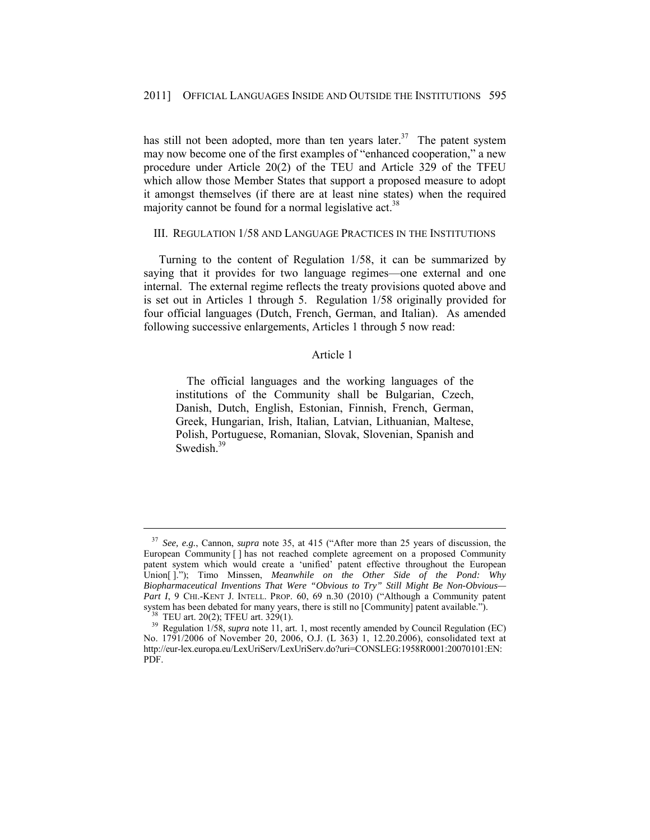has still not been adopted, more than ten years later.<sup>37</sup> The patent system may now become one of the first examples of "enhanced cooperation," a new procedure under Article 20(2) of the TEU and Article 329 of the TFEU which allow those Member States that support a proposed measure to adopt it amongst themselves (if there are at least nine states) when the required majority cannot be found for a normal legislative act.<sup>38</sup>

#### III. REGULATION 1/58 AND LANGUAGE PRACTICES IN THE INSTITUTIONS

Turning to the content of Regulation 1/58, it can be summarized by saying that it provides for two language regimes—one external and one internal. The external regime reflects the treaty provisions quoted above and is set out in Articles 1 through 5. Regulation 1/58 originally provided for four official languages (Dutch, French, German, and Italian). As amended following successive enlargements, Articles 1 through 5 now read:

### Article 1

 The official languages and the working languages of the institutions of the Community shall be Bulgarian, Czech, Danish, Dutch, English, Estonian, Finnish, French, German, Greek, Hungarian, Irish, Italian, Latvian, Lithuanian, Maltese, Polish, Portuguese, Romanian, Slovak, Slovenian, Spanish and Swedish.<sup>39</sup>

<sup>37</sup> *See, e.g.*, Cannon, *supra* note 35, at 415 ("After more than 25 years of discussion, the European Community [ ] has not reached complete agreement on a proposed Community patent system which would create a 'unified' patent effective throughout the European Union[ ]."); Timo Minssen, *Meanwhile on the Other Side of the Pond: Why Biopharmaceutical Inventions That Were "Obvious to Try" Still Might Be Non-Obvious—* Part I, 9 CHI.-KENT J. INTELL. PROP. 60, 69 n.30 (2010) ("Although a Community patent system has been debated for many years, there is still no [Community] patent available."). <sup>38</sup> TEU art. 20(2); TFEU art. 329(1).

<sup>&</sup>lt;sup>39</sup> Regulation 1/58, *supra* note 11, art. 1, most recently amended by Council Regulation (EC) No. 1791/2006 of November 20, 2006, O.J. (L 363) 1, 12.20.2006), consolidated text at http://eur-lex.europa.eu/LexUriServ/LexUriServ.do?uri=CONSLEG:1958R0001:20070101:EN: PDF.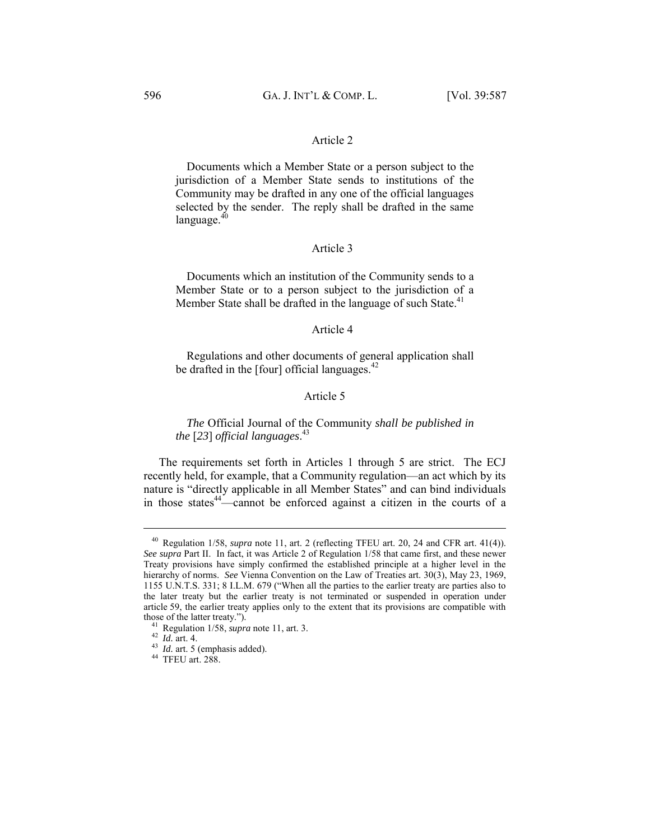#### Article 2

 Documents which a Member State or a person subject to the jurisdiction of a Member State sends to institutions of the Community may be drafted in any one of the official languages selected by the sender. The reply shall be drafted in the same language. $40$ 

#### Article 3

 Documents which an institution of the Community sends to a Member State or to a person subject to the jurisdiction of a Member State shall be drafted in the language of such State.<sup>41</sup>

#### Article 4

 Regulations and other documents of general application shall be drafted in the  $[four]$  official languages.<sup>42</sup>

### Article 5

*The* Official Journal of the Community *shall be published in the* [*23*] *official languages*. 43

The requirements set forth in Articles 1 through 5 are strict. The ECJ recently held, for example, that a Community regulation—an act which by its nature is "directly applicable in all Member States" and can bind individuals in those states $44$ —cannot be enforced against a citizen in the courts of a

<sup>&</sup>lt;sup>40</sup> Regulation 1/58, *supra* note 11, art. 2 (reflecting TFEU art. 20, 24 and CFR art. 41(4)). *See supra* Part II. In fact, it was Article 2 of Regulation 1/58 that came first, and these newer Treaty provisions have simply confirmed the established principle at a higher level in the hierarchy of norms. *See* Vienna Convention on the Law of Treaties art. 30(3), May 23, 1969, 1155 U.N.T.S. 331; 8 I.L.M. 679 ("When all the parties to the earlier treaty are parties also to the later treaty but the earlier treaty is not terminated or suspended in operation under article 59, the earlier treaty applies only to the extent that its provisions are compatible with those of the latter treaty.").

<sup>&</sup>lt;sup>41</sup> Regulation 1/58, *supra* note 11, art. 3.  $^{42}$  *Id.* art. 4.  $^{43}$  *Id.* art. 5 (emphasis added).  $^{44}$  TFEU art. 288.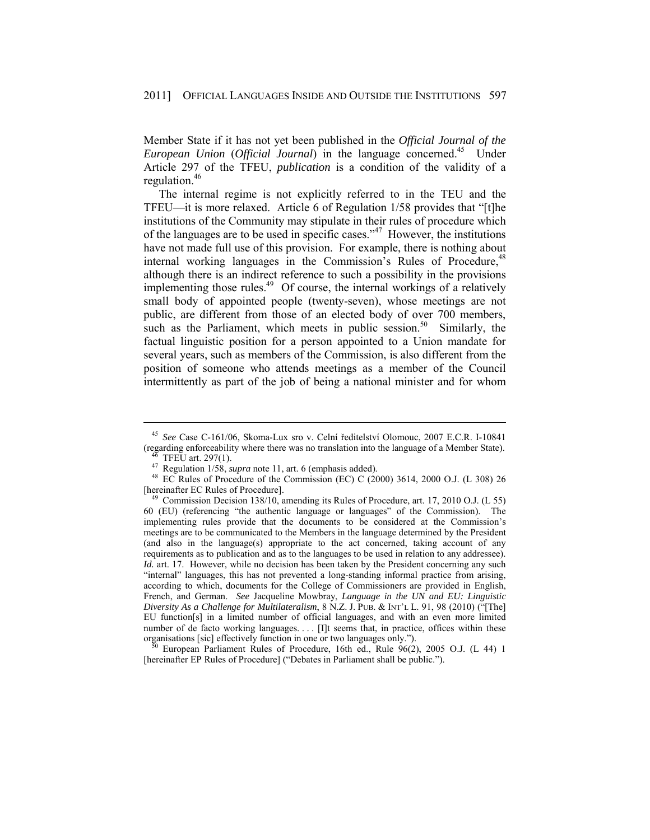Member State if it has not yet been published in the *Official Journal of the European Union* (*Official Journal*) in the language concerned.45 Under Article 297 of the TFEU, *publication* is a condition of the validity of a regulation.46

The internal regime is not explicitly referred to in the TEU and the TFEU—it is more relaxed. Article 6 of Regulation 1/58 provides that "[t]he institutions of the Community may stipulate in their rules of procedure which of the languages are to be used in specific cases."47 However, the institutions have not made full use of this provision. For example, there is nothing about internal working languages in the Commission's Rules of Procedure,<sup>48</sup> although there is an indirect reference to such a possibility in the provisions implementing those rules.<sup>49</sup> Of course, the internal workings of a relatively small body of appointed people (twenty-seven), whose meetings are not public, are different from those of an elected body of over 700 members, such as the Parliament, which meets in public session.<sup>50</sup> Similarly, the factual linguistic position for a person appointed to a Union mandate for several years, such as members of the Commission, is also different from the position of someone who attends meetings as a member of the Council intermittently as part of the job of being a national minister and for whom

<sup>45</sup> *See* Case C-161/06, Skoma-Lux sro v. Celní ředitelství Olomouc, 2007 E.C.R. I-10841 (regarding enforceability where there was no translation into the language of a Member State).<br><sup>46</sup> TFEU art. 297(1).<br><sup>47</sup> Regulation 1/58, *supra* note 11, art. 6 (emphasis added).

<sup>&</sup>lt;sup>48</sup> EC Rules of Procedure of the Commission (EC) C (2000) 3614, 2000 O.J. (L 308) 26 [hereinafter EC Rules of Procedure].

<sup>&</sup>lt;sup>49</sup> Commission Decision 138/10, amending its Rules of Procedure, art. 17, 2010 O.J. (L 55) 60 (EU) (referencing "the authentic language or languages" of the Commission). The implementing rules provide that the documents to be considered at the Commission's meetings are to be communicated to the Members in the language determined by the President (and also in the language(s) appropriate to the act concerned, taking account of any requirements as to publication and as to the languages to be used in relation to any addressee). *Id.* art. 17. However, while no decision has been taken by the President concerning any such "internal" languages, this has not prevented a long-standing informal practice from arising, according to which, documents for the College of Commissioners are provided in English, French, and German. *See* Jacqueline Mowbray, *Language in the UN and EU: Linguistic Diversity As a Challenge for Multilateralism*, 8 N.Z. J. PUB. & INT'L L. 91, 98 (2010) ("[The] EU function[s] in a limited number of official languages, and with an even more limited number of de facto working languages. . . . [I]t seems that, in practice, offices within these organisations [sic] effectively function in one or two languages only."). 50 European Parliament Rules of Procedure, 16th ed., Rule 96(2), 2005 O.J. (L 44) 1

<sup>[</sup>hereinafter EP Rules of Procedure] ("Debates in Parliament shall be public.").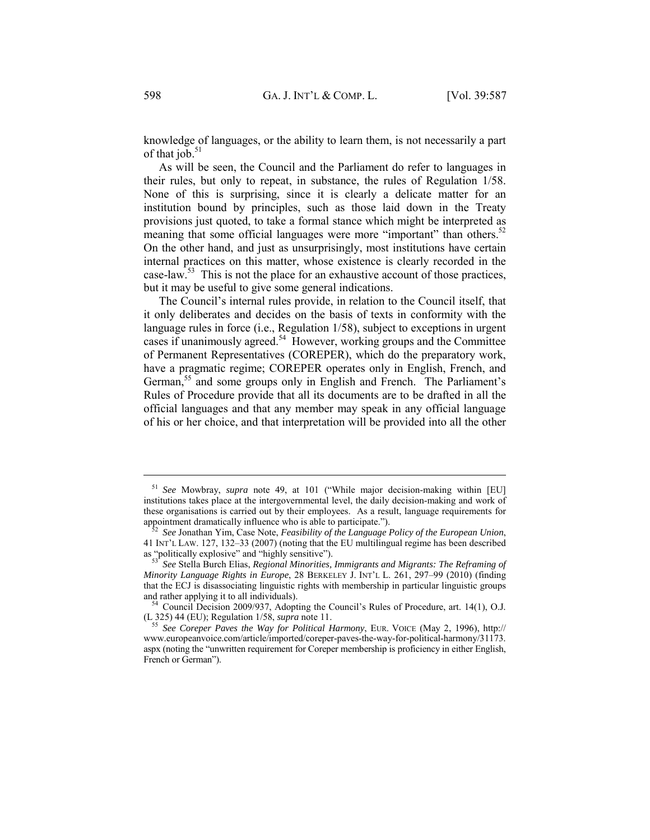knowledge of languages, or the ability to learn them, is not necessarily a part of that  $\overline{10b}$ .<sup>51</sup>

As will be seen, the Council and the Parliament do refer to languages in their rules, but only to repeat, in substance, the rules of Regulation 1/58. None of this is surprising, since it is clearly a delicate matter for an institution bound by principles, such as those laid down in the Treaty provisions just quoted, to take a formal stance which might be interpreted as meaning that some official languages were more "important" than others.<sup>52</sup> On the other hand, and just as unsurprisingly, most institutions have certain internal practices on this matter, whose existence is clearly recorded in the case-law.<sup>53</sup> This is not the place for an exhaustive account of those practices, but it may be useful to give some general indications.

The Council's internal rules provide, in relation to the Council itself, that it only deliberates and decides on the basis of texts in conformity with the language rules in force (i.e., Regulation 1/58), subject to exceptions in urgent cases if unanimously agreed.54 However, working groups and the Committee of Permanent Representatives (COREPER), which do the preparatory work, have a pragmatic regime; COREPER operates only in English, French, and German,<sup>55</sup> and some groups only in English and French. The Parliament's Rules of Procedure provide that all its documents are to be drafted in all the official languages and that any member may speak in any official language of his or her choice, and that interpretation will be provided into all the other

<sup>51</sup> *See* Mowbray, *supra* note 49, at 101 ("While major decision-making within [EU] institutions takes place at the intergovernmental level, the daily decision-making and work of these organisations is carried out by their employees. As a result, language requirements for appointment dramatically influence who is able to participate.").<br><sup>52</sup> *See* Jonathan Yim, Case Note, *Feasibility of the Language Policy of the European Union*,

<sup>41</sup> INT'L LAW. 127, 132–33 (2007) (noting that the EU multilingual regime has been described as "politically explosive" and "highly sensitive").<br><sup>53</sup> *See* Stella Burch Elias, *Regional Minorities, Immigrants and Migrants: The Reframing of* 

*Minority Language Rights in Europe*, 28 BERKELEY J. INT'L L. 261, 297–99 (2010) (finding that the ECJ is disassociating linguistic rights with membership in particular linguistic groups

and rather applying it to all individuals).<br><sup>54</sup> Council Decision 2009/937, Adopting the Council's Rules of Procedure, art. 14(1), O.J.<br>(L 325) 44 (EU); Regulation 1/58, *supra* note 11.

See Coreper Paves the Way for Political Harmony, EUR. VOICE (May 2, 1996), http:// www.europeanvoice.com/article/imported/coreper-paves-the-way-for-political-harmony/31173. aspx (noting the "unwritten requirement for Coreper membership is proficiency in either English, French or German").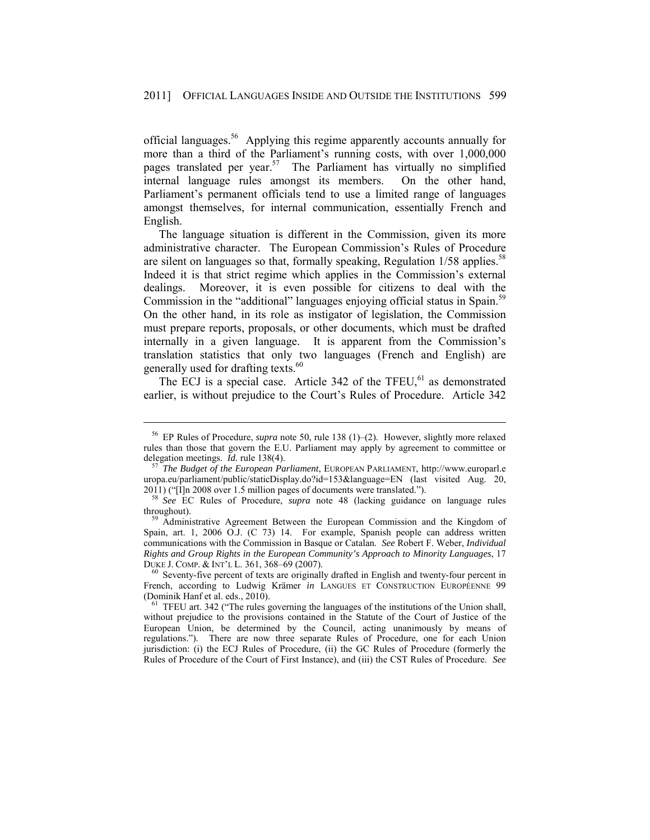official languages.56 Applying this regime apparently accounts annually for more than a third of the Parliament's running costs, with over 1,000,000 pages translated per year.<sup>57</sup> The Parliament has virtually no simplified internal language rules amongst its members. On the other hand, Parliament's permanent officials tend to use a limited range of languages amongst themselves, for internal communication, essentially French and English.

The language situation is different in the Commission, given its more administrative character. The European Commission's Rules of Procedure are silent on languages so that, formally speaking, Regulation  $1/58$  applies.<sup>58</sup> Indeed it is that strict regime which applies in the Commission's external dealings. Moreover, it is even possible for citizens to deal with the Commission in the "additional" languages enjoying official status in Spain.<sup>59</sup> On the other hand, in its role as instigator of legislation, the Commission must prepare reports, proposals, or other documents, which must be drafted internally in a given language. It is apparent from the Commission's translation statistics that only two languages (French and English) are generally used for drafting texts.<sup>60</sup>

The ECJ is a special case. Article  $342$  of the TFEU,<sup>61</sup> as demonstrated earlier, is without prejudice to the Court's Rules of Procedure. Article 342

<sup>56</sup> EP Rules of Procedure, *supra* note 50, rule 138 (1)–(2). However, slightly more relaxed rules than those that govern the E.U. Parliament may apply by agreement to committee or delegation meetings. *Id.* rule 138(4).<br><sup>57</sup> *The Budget of the European Parliament*, EUROPEAN PARLIAMENT, http://www.europarl.e

uropa.eu/parliament/public/staticDisplay.do?id=153&language=EN (last visited Aug. 20, 2011) ("[I]n 2008 over 1.5 million pages of documents were translated.").

<sup>&</sup>lt;sup>58</sup> See EC Rules of Procedure, *supra* note 48 (lacking guidance on language rules throughout). 59 Administrative Agreement Between the European Commission and the Kingdom of

Spain, art. 1, 2006 O.J. (C 73) 14. For example, Spanish people can address written communications with the Commission in Basque or Catalan. *See* Robert F. Weber, *Individual Rights and Group Rights in the European Community's Approach to Minority Languages*, 17

 $60$  Seventy-five percent of texts are originally drafted in English and twenty-four percent in French, according to Ludwig Krämer *in* LANGUES ET CONSTRUCTION EUROPÉENNE 99 (Dominik Hanf et al. eds., 2010).  $^{61}$  TFEU art. 342 ("The rules governing the languages of the institutions of the Union shall,

without prejudice to the provisions contained in the Statute of the Court of Justice of the European Union, be determined by the Council, acting unanimously by means of regulations."). There are now three separate Rules of Procedure, one for each Union jurisdiction: (i) the ECJ Rules of Procedure, (ii) the GC Rules of Procedure (formerly the Rules of Procedure of the Court of First Instance), and (iii) the CST Rules of Procedure. *See*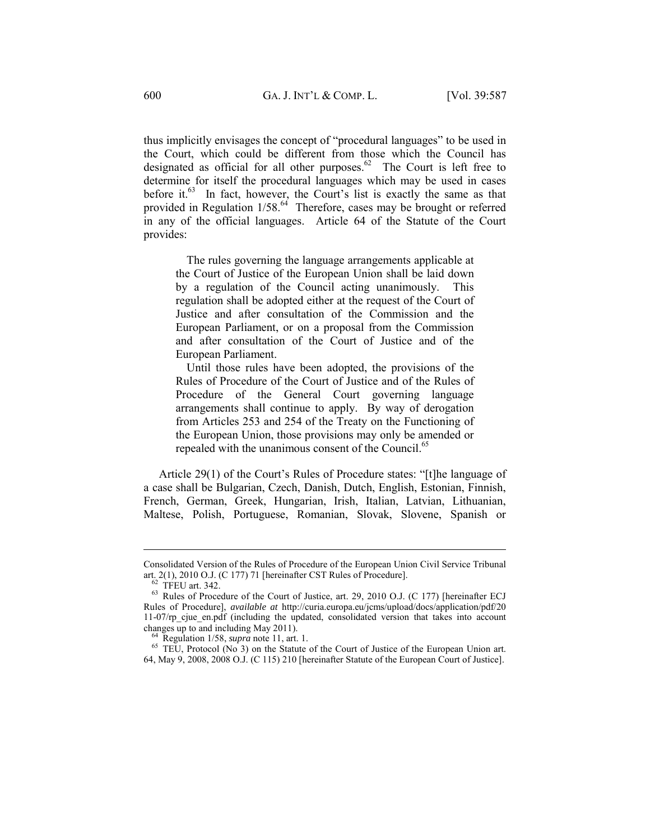thus implicitly envisages the concept of "procedural languages" to be used in the Court, which could be different from those which the Council has designated as official for all other purposes. $62$  The Court is left free to determine for itself the procedural languages which may be used in cases before it.<sup>63</sup> In fact, however, the Court's list is exactly the same as that provided in Regulation 1/58.<sup>64</sup> Therefore, cases may be brought or referred in any of the official languages. Article 64 of the Statute of the Court provides:

 The rules governing the language arrangements applicable at the Court of Justice of the European Union shall be laid down by a regulation of the Council acting unanimously. This regulation shall be adopted either at the request of the Court of Justice and after consultation of the Commission and the European Parliament, or on a proposal from the Commission and after consultation of the Court of Justice and of the European Parliament.

 Until those rules have been adopted, the provisions of the Rules of Procedure of the Court of Justice and of the Rules of Procedure of the General Court governing language arrangements shall continue to apply. By way of derogation from Articles 253 and 254 of the Treaty on the Functioning of the European Union, those provisions may only be amended or repealed with the unanimous consent of the Council.<sup>65</sup>

Article 29(1) of the Court's Rules of Procedure states: "[t]he language of a case shall be Bulgarian, Czech, Danish, Dutch, English, Estonian, Finnish, French, German, Greek, Hungarian, Irish, Italian, Latvian, Lithuanian, Maltese, Polish, Portuguese, Romanian, Slovak, Slovene, Spanish or

Consolidated Version of the Rules of Procedure of the European Union Civil Service Tribunal art. 2(1), 2010 O.J. (C 177) 71 [hereinafter CST Rules of Procedure]. 62 TFEU art. 342.

<sup>63</sup> Rules of Procedure of the Court of Justice, art. 29, 2010 O.J. (C 177) [hereinafter ECJ Rules of Procedure], *available at* http://curia.europa.eu/jcms/upload/docs/application/pdf/20 11-07/rp cjue en.pdf (including the updated, consolidated version that takes into account changes up to and including May 2011).<br><sup>64</sup> Regulation 1/58, *supra* note 11, art. 1.<br><sup>65</sup> TEU, Protocol (No 3) on the Statute of the Court of Justice of the European Union art.

<sup>64,</sup> May 9, 2008, 2008 O.J. (C 115) 210 [hereinafter Statute of the European Court of Justice].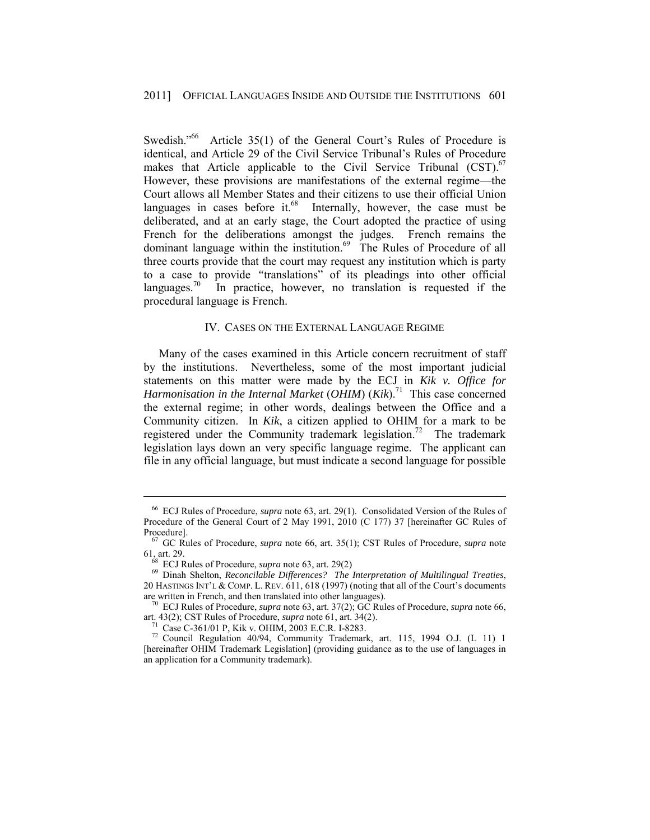Swedish."<sup>66</sup> Article 35(1) of the General Court's Rules of Procedure is identical, and Article 29 of the Civil Service Tribunal's Rules of Procedure makes that Article applicable to the Civil Service Tribunal  $(CST)$ .<sup>67</sup> However, these provisions are manifestations of the external regime—the Court allows all Member States and their citizens to use their official Union languages in cases before it.<sup>68</sup> Internally, however, the case must be deliberated, and at an early stage, the Court adopted the practice of using French for the deliberations amongst the judges. French remains the dominant language within the institution.<sup>69</sup> The Rules of Procedure of all three courts provide that the court may request any institution which is party to a case to provide *"*translations" of its pleadings into other official languages.<sup>70</sup> In practice, however, no translation is requested if the procedural language is French.

### IV. CASES ON THE EXTERNAL LANGUAGE REGIME

Many of the cases examined in this Article concern recruitment of staff by the institutions. Nevertheless, some of the most important judicial statements on this matter were made by the ECJ in *Kik v. Office for Harmonisation in the Internal Market (OHIM)* (*Kik*).<sup>71</sup> This case concerned the external regime; in other words, dealings between the Office and a Community citizen. In *Kik*, a citizen applied to OHIM for a mark to be registered under the Community trademark legislation.<sup>72</sup> The trademark legislation lays down an very specific language regime. The applicant can file in any official language, but must indicate a second language for possible

<sup>66</sup> ECJ Rules of Procedure, *supra* note 63, art. 29(1). Consolidated Version of the Rules of Procedure of the General Court of 2 May 1991, 2010 (C 177) 37 [hereinafter GC Rules of Procedure]. 67 GC Rules of Procedure, *supra* note 66, art. 35(1); CST Rules of Procedure, *supra* note

<sup>61,</sup> art. 29. 68 ECJ Rules of Procedure, *supra* note 63, art. 29(2) 69 Dinah Shelton, *Reconcilable Differences? The Interpretation of Multilingual Treaties*,

<sup>20</sup> HASTINGS INT'L & COMP. L. REV. 611, 618 (1997) (noting that all of the Court's documents

are written in French, and then translated into other languages).<br><sup>70</sup> ECJ Rules of Procedure, *supra* note 63, art. 37(2); GC Rules of Procedure, *supra* note 66, art. 43(2); CST Rules of Procedure, *supra* note 61, art.

<sup>&</sup>lt;sup>71</sup> Case C-361/01 P, Kik v. OHIM, 2003 E.C.R. I-8283. <sup>72</sup> Council Regulation 40/94, Community Trademark, art. 115, 1994 O.J. (L 11) 1 [hereinafter OHIM Trademark Legislation] (providing guidance as to the use of languages in an application for a Community trademark).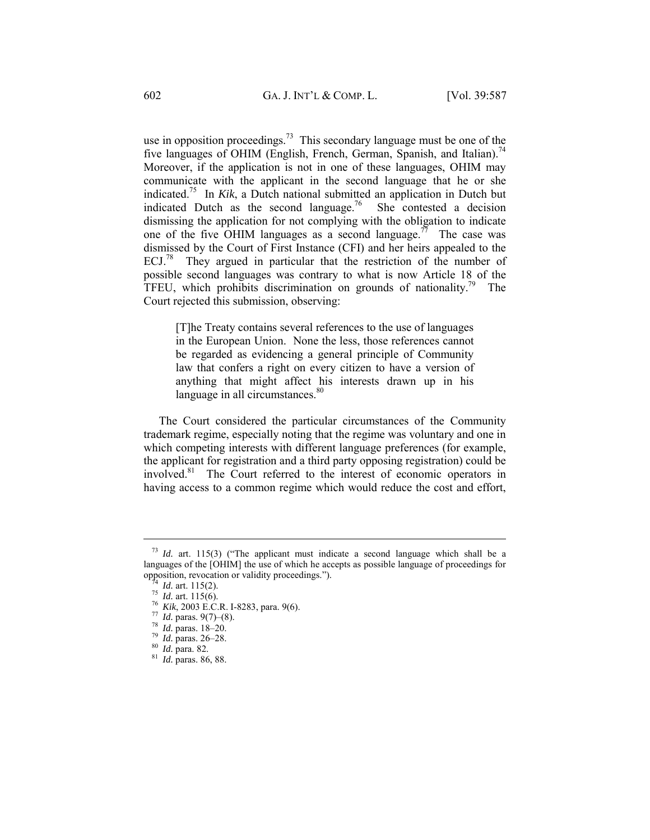use in opposition proceedings.<sup>73</sup> This secondary language must be one of the five languages of OHIM (English, French, German, Spanish, and Italian).<sup>74</sup> Moreover, if the application is not in one of these languages, OHIM may communicate with the applicant in the second language that he or she indicated.75 In *Kik*, a Dutch national submitted an application in Dutch but indicated Dutch as the second language.<sup>76</sup> She contested a decision dismissing the application for not complying with the obligation to indicate one of the five OHIM languages as a second language.<sup>77</sup> The case was dismissed by the Court of First Instance (CFI) and her heirs appealed to the ECJ.78 They argued in particular that the restriction of the number of possible second languages was contrary to what is now Article 18 of the TFEU, which prohibits discrimination on grounds of nationality.<sup>79</sup> The Court rejected this submission, observing:

[T]he Treaty contains several references to the use of languages in the European Union. None the less, those references cannot be regarded as evidencing a general principle of Community law that confers a right on every citizen to have a version of anything that might affect his interests drawn up in his language in all circumstances.<sup>80</sup>

The Court considered the particular circumstances of the Community trademark regime, especially noting that the regime was voluntary and one in which competing interests with different language preferences (for example, the applicant for registration and a third party opposing registration) could be involved.<sup>81</sup> The Court referred to the interest of economic operators in having access to a common regime which would reduce the cost and effort,

<sup>73</sup> *Id.* art. 115(3) ("The applicant must indicate a second language which shall be a languages of the [OHIM] the use of which he accepts as possible language of proceedings for opposition, revocation or validity proceedings.").<br>
<sup>74</sup> *Id.* art. 115(2).<br>
<sup>75</sup> *Id.* art. 115(6).<br>
<sup>76</sup> *Kik*, 2003 E.C.R. I-8283, para. 9(6).<br>
<sup>77</sup> *Id.* paras. 9(7)–(8).<br>
<sup>78</sup> *Id.* paras. 18–20.<br>
<sup>79</sup> *Id.* paras. 2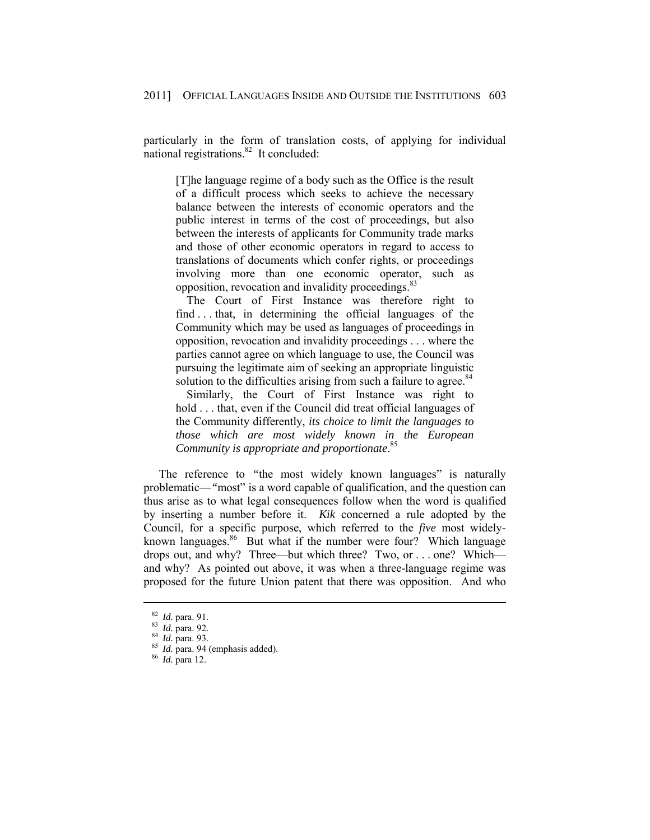particularly in the form of translation costs, of applying for individual national registrations.82 It concluded:

[T]he language regime of a body such as the Office is the result of a difficult process which seeks to achieve the necessary balance between the interests of economic operators and the public interest in terms of the cost of proceedings, but also between the interests of applicants for Community trade marks and those of other economic operators in regard to access to translations of documents which confer rights, or proceedings involving more than one economic operator, such as opposition, revocation and invalidity proceedings.<sup>83</sup>

 The Court of First Instance was therefore right to find . . . that, in determining the official languages of the Community which may be used as languages of proceedings in opposition, revocation and invalidity proceedings . . . where the parties cannot agree on which language to use, the Council was pursuing the legitimate aim of seeking an appropriate linguistic solution to the difficulties arising from such a failure to agree.<sup>84</sup>

 Similarly, the Court of First Instance was right to hold . . . that, even if the Council did treat official languages of the Community differently, *its choice to limit the languages to those which are most widely known in the European Community is appropriate and proportionate*. 85

The reference to "the most widely known languages" is naturally problematic—*"*most" is a word capable of qualification, and the question can thus arise as to what legal consequences follow when the word is qualified by inserting a number before it. *Kik* concerned a rule adopted by the Council, for a specific purpose, which referred to the *five* most widelyknown languages.<sup>86</sup> But what if the number were four? Which language drops out, and why? Three—but which three? Two, or . . . one? Which and why? As pointed out above, it was when a three-language regime was proposed for the future Union patent that there was opposition. And who

<sup>82</sup> *Id.* para. 91. 83 *Id.* para. 92. 84 *Id.* para. 93. 85 *Id.* para. 94 (emphasis added). 86 *Id.* para 12.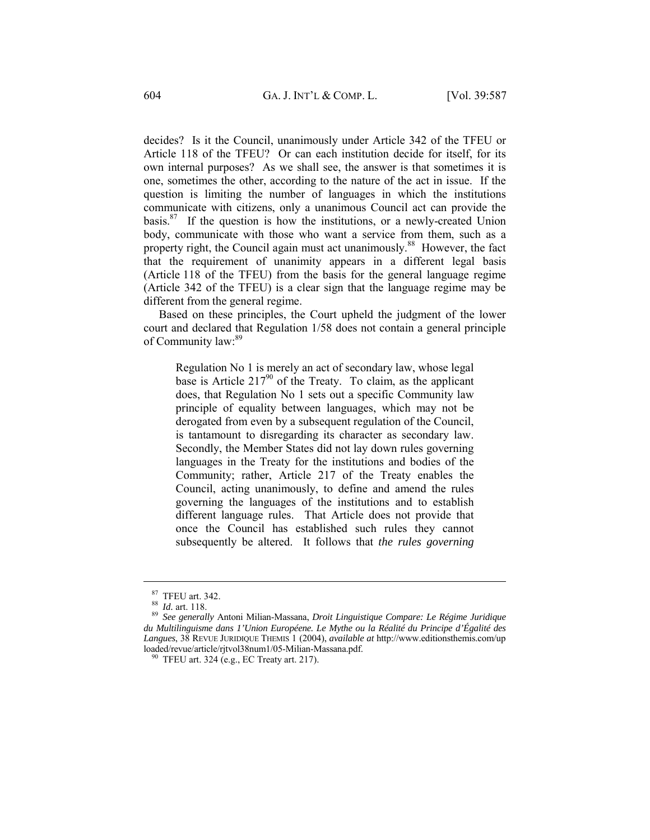decides? Is it the Council, unanimously under Article 342 of the TFEU or Article 118 of the TFEU? Or can each institution decide for itself, for its own internal purposes? As we shall see, the answer is that sometimes it is one, sometimes the other, according to the nature of the act in issue. If the question is limiting the number of languages in which the institutions communicate with citizens, only a unanimous Council act can provide the basis. $87$  If the question is how the institutions, or a newly-created Union body, communicate with those who want a service from them, such as a property right, the Council again must act unanimously.<sup>88</sup> However, the fact that the requirement of unanimity appears in a different legal basis (Article 118 of the TFEU) from the basis for the general language regime (Article 342 of the TFEU) is a clear sign that the language regime may be different from the general regime.

Based on these principles, the Court upheld the judgment of the lower court and declared that Regulation 1/58 does not contain a general principle of Community law:<sup>89</sup>

Regulation No 1 is merely an act of secondary law, whose legal base is Article  $217^{90}$  of the Treaty. To claim, as the applicant does, that Regulation No 1 sets out a specific Community law principle of equality between languages, which may not be derogated from even by a subsequent regulation of the Council, is tantamount to disregarding its character as secondary law. Secondly, the Member States did not lay down rules governing languages in the Treaty for the institutions and bodies of the Community; rather, Article 217 of the Treaty enables the Council, acting unanimously, to define and amend the rules governing the languages of the institutions and to establish different language rules. That Article does not provide that once the Council has established such rules they cannot subsequently be altered. It follows that *the rules governing* 

<sup>87</sup> TFEU art. 342. 88 *Id.* art. 118. 89 *See generally* Antoni Milian-Massana, *Droit Linguistique Compare: Le Régime Juridique du Multilinguisme dans 1'Union Européene. Le Mythe ou la Réalité du Principe d'Égalité des*  Langues, 38 REVUE JURIDIQUE THEMIS 1 (2004), *available at* http://www.editionsthemis.com/up loaded/revue/article/rjtvol38num1/05-Milian-Massana.pdf.

 $\frac{90}{17}$  TFEU art. 324 (e.g., EC Treaty art. 217).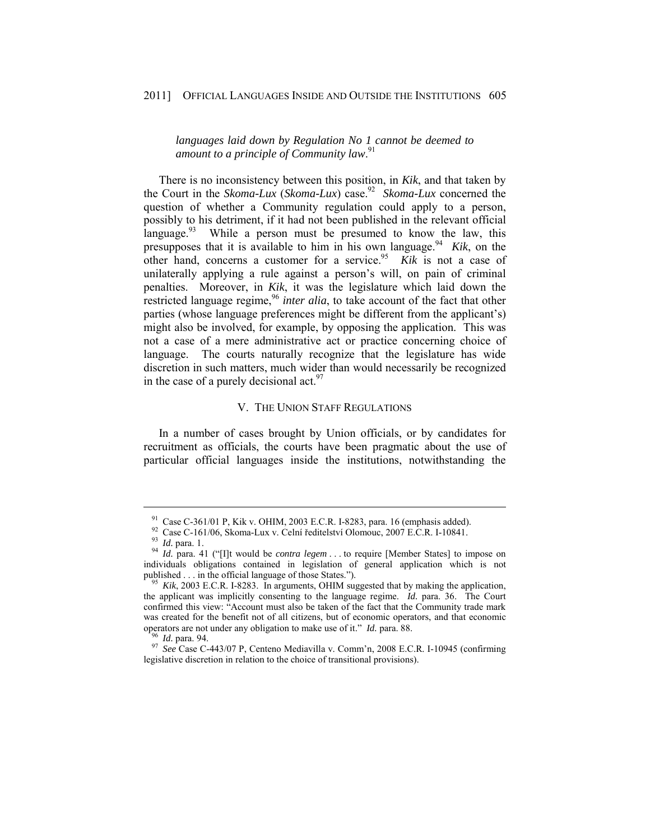#### 2011] OFFICIAL LANGUAGES INSIDE AND OUTSIDE THE INSTITUTIONS 605

*languages laid down by Regulation No 1 cannot be deemed to amount to a principle of Community law*. 91

There is no inconsistency between this position, in *Kik*, and that taken by the Court in the *Skoma-Lux* (*Skoma-Lux*) case.<sup>92</sup> *Skoma-Lux* concerned the question of whether a Community regulation could apply to a person, possibly to his detriment, if it had not been published in the relevant official language.<sup>93</sup> While a person must be presumed to know the law, this presupposes that it is available to him in his own language.<sup>94</sup> *Kik*, on the other hand, concerns a customer for a service.<sup>95</sup> *Kik* is not a case of unilaterally applying a rule against a person's will, on pain of criminal penalties. Moreover, in *Kik*, it was the legislature which laid down the restricted language regime,<sup>96</sup> *inter alia*, to take account of the fact that other parties (whose language preferences might be different from the applicant's) might also be involved, for example, by opposing the application. This was not a case of a mere administrative act or practice concerning choice of language. The courts naturally recognize that the legislature has wide discretion in such matters, much wider than would necessarily be recognized in the case of a purely decisional act.  $97$ 

#### V. THE UNION STAFF REGULATIONS

In a number of cases brought by Union officials, or by candidates for recruitment as officials, the courts have been pragmatic about the use of particular official languages inside the institutions, notwithstanding the

<sup>&</sup>lt;sup>91</sup> Case C-361/01 P, Kik v. OHIM, 2003 E.C.R. I-8283, para. 16 (emphasis added).<br><sup>92</sup> Case C-161/06, Skoma-Lux v. Celní ředitelství Olomouc, 2007 E.C.R. I-10841.

<sup>93</sup> *Id.* para. 1.<br><sup>94</sup> *Id.* para. 1. <sup>94</sup> *Id.* para. 41 ("[I]t would be *contra legem* . . . to require [Member States] to impose on individuals obligations contained in legislation of general application which is not published . . . in the official language of those States.").<br><sup>95</sup> *Kik*, 2003 E.C.R. I-8283. In arguments, OHIM suggested that by making the application,

the applicant was implicitly consenting to the language regime. *Id.* para. 36. The Court confirmed this view: "Account must also be taken of the fact that the Community trade mark was created for the benefit not of all citizens, but of economic operators, and that economic operators are not under any obligation to make use of it."  $Id$ . para. 88.

<sup>&</sup>lt;sup>96</sup> *Id.* para. 94. *Id.* para. 94. *Id.* para. 894. *Id.* Para. 88. 97 *See* Case C-443/07 P, Centeno Mediavilla v. Comm'n, 2008 E.C.R. I-10945 (confirming legislative discretion in relation to the choice of transitional provisions).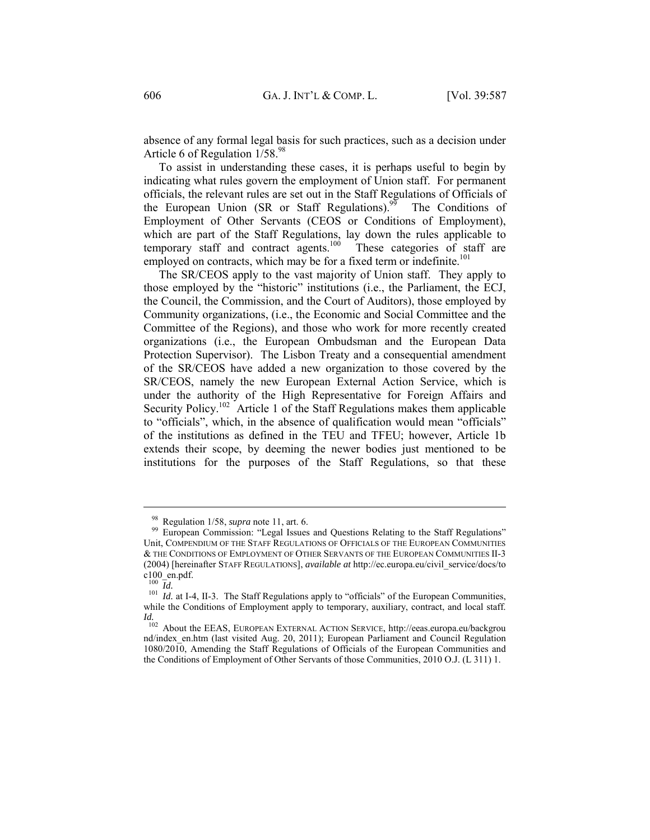absence of any formal legal basis for such practices, such as a decision under Article 6 of Regulation 1/58.98

To assist in understanding these cases, it is perhaps useful to begin by indicating what rules govern the employment of Union staff. For permanent officials, the relevant rules are set out in the Staff Regulations of Officials of the European Union (SR or Staff Regulations).<sup>99</sup> The Conditions of Employment of Other Servants (CEOS or Conditions of Employment), which are part of the Staff Regulations, lay down the rules applicable to temporary staff and contract agents.<sup>100</sup> These categories of staff are employed on contracts, which may be for a fixed term or indefinite.<sup>101</sup>

The SR/CEOS apply to the vast majority of Union staff. They apply to those employed by the "historic" institutions (i.e., the Parliament, the ECJ, the Council, the Commission, and the Court of Auditors), those employed by Community organizations, (i.e., the Economic and Social Committee and the Committee of the Regions), and those who work for more recently created organizations (i.e., the European Ombudsman and the European Data Protection Supervisor). The Lisbon Treaty and a consequential amendment of the SR/CEOS have added a new organization to those covered by the SR/CEOS, namely the new European External Action Service, which is under the authority of the High Representative for Foreign Affairs and Security Policy.<sup>102</sup> Article 1 of the Staff Regulations makes them applicable to "officials", which, in the absence of qualification would mean "officials" of the institutions as defined in the TEU and TFEU; however, Article 1b extends their scope, by deeming the newer bodies just mentioned to be institutions for the purposes of the Staff Regulations, so that these

<sup>&</sup>lt;sup>98</sup> Regulation 1/58, *supra* note 11, art. 6.<br><sup>99</sup> European Commission: "Legal Issues and Questions Relating to the Staff Regulations" Unit, COMPENDIUM OF THE STAFF REGULATIONS OF OFFICIALS OF THE EUROPEAN COMMUNITIES & THE CONDITIONS OF EMPLOYMENT OF OTHER SERVANTS OF THE EUROPEAN COMMUNITIES II-3 (2004) [hereinafter STAFF REGULATIONS], *available at* http://ec.europa.eu/civil\_service/docs/to c100\_en.pdf.<br> $\frac{100}{Id}$ .

<sup>&</sup>lt;sup>101</sup> *Id.* at I-4, II-3. The Staff Regulations apply to "officials" of the European Communities, while the Conditions of Employment apply to temporary, auxiliary, contract, and local staff. *Id.*

<sup>&</sup>lt;sup>102</sup> About the EEAS, EUROPEAN EXTERNAL ACTION SERVICE, http://eeas.europa.eu/backgrou nd/index\_en.htm (last visited Aug. 20, 2011); European Parliament and Council Regulation 1080/2010, Amending the Staff Regulations of Officials of the European Communities and the Conditions of Employment of Other Servants of those Communities, 2010 O.J. (L 311) 1.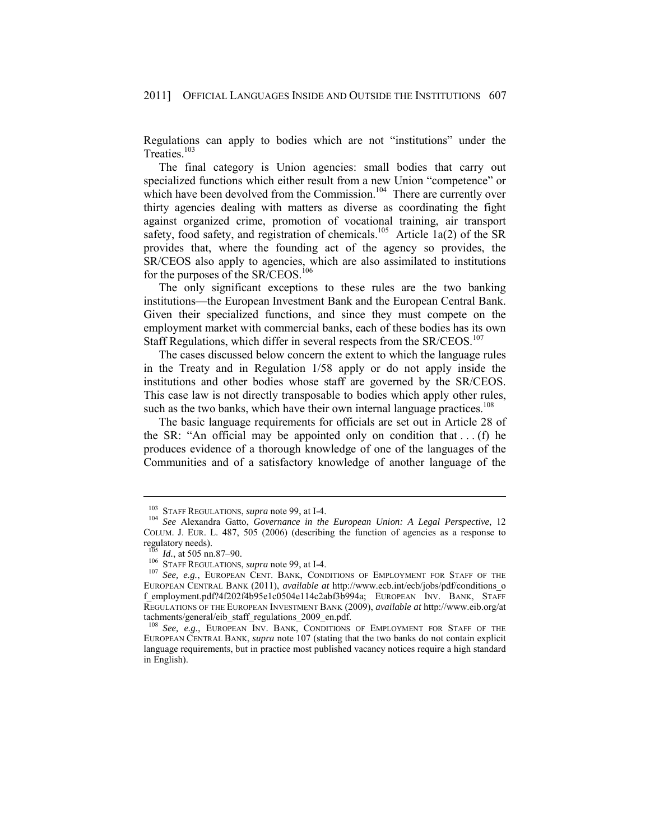Regulations can apply to bodies which are not "institutions" under the Treaties.<sup>103</sup>

The final category is Union agencies: small bodies that carry out specialized functions which either result from a new Union "competence" or which have been devolved from the Commission.<sup>104</sup> There are currently over thirty agencies dealing with matters as diverse as coordinating the fight against organized crime, promotion of vocational training, air transport safety, food safety, and registration of chemicals.<sup>105</sup> Article 1a(2) of the SR provides that, where the founding act of the agency so provides, the SR/CEOS also apply to agencies, which are also assimilated to institutions for the purposes of the SR/CEOS.<sup>106</sup>

The only significant exceptions to these rules are the two banking institutions—the European Investment Bank and the European Central Bank. Given their specialized functions, and since they must compete on the employment market with commercial banks, each of these bodies has its own Staff Regulations, which differ in several respects from the SR/CEOS.<sup>107</sup>

The cases discussed below concern the extent to which the language rules in the Treaty and in Regulation 1/58 apply or do not apply inside the institutions and other bodies whose staff are governed by the SR/CEOS. This case law is not directly transposable to bodies which apply other rules, such as the two banks, which have their own internal language practices.<sup>108</sup>

The basic language requirements for officials are set out in Article 28 of the SR: "An official may be appointed only on condition that  $\dots$  (f) he produces evidence of a thorough knowledge of one of the languages of the Communities and of a satisfactory knowledge of another language of the

<sup>&</sup>lt;sup>103</sup> STAFF REGULATIONS, *supra* note 99, at I-4.<br><sup>104</sup> *See* Alexandra Gatto, *Governance in the European Union: A Legal Perspective*, 12 COLUM. J. EUR. L. 487, 505 (2006) (describing the function of agencies as a response to regulatory needs).<br> $\frac{105}{105}$  *Id.*, at 505 nn.87–90.

<sup>&</sup>lt;sup>106</sup> STAFF REGULATIONS, *supra* note 99, at I-4. 107 *See, e.g.*, EUROPEAN CENT. BANK, CONDITIONS OF EMPLOYMENT FOR STAFF OF THE EUROPEAN CENTRAL BANK (2011), *available at* http://www.ecb.int/ecb/jobs/pdf/conditions\_o f\_employment.pdf?4f202f4b95e1c0504e114c2abf3b994a; EUROPEAN INV. BANK, STAFF REGULATIONS OF THE EUROPEAN INVESTMENT BANK (2009), *available at* http://www.eib.org/at tachments/general/eib\_staff\_regulations\_2009\_en.pdf.

<sup>108</sup> *See, e.g.*, EUROPEAN INV. BANK, CONDITIONS OF EMPLOYMENT FOR STAFF OF THE EUROPEAN CENTRAL BANK, *supra* note 107 (stating that the two banks do not contain explicit language requirements, but in practice most published vacancy notices require a high standard in English).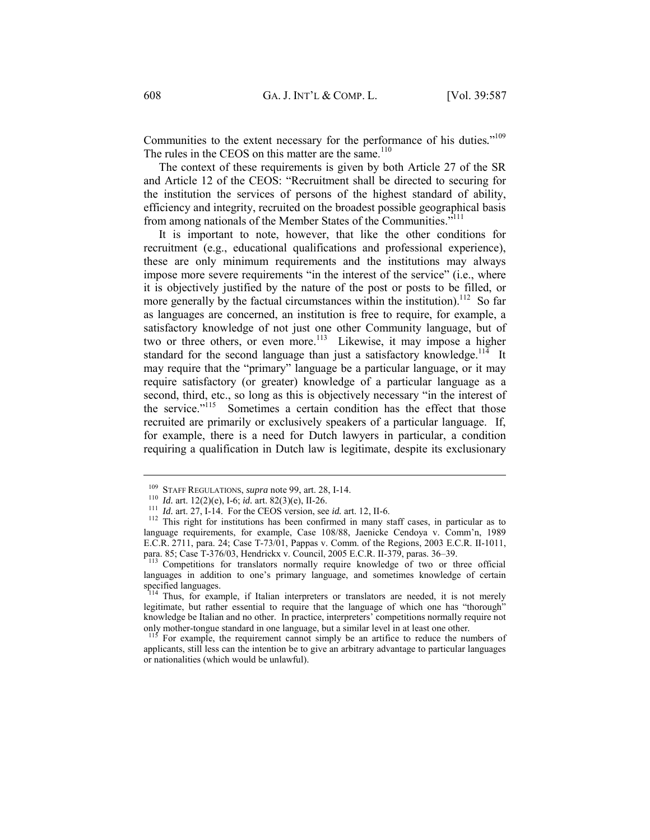Communities to the extent necessary for the performance of his duties."<sup>109</sup> The rules in the CEOS on this matter are the same.<sup>110</sup>

The context of these requirements is given by both Article 27 of the SR and Article 12 of the CEOS: "Recruitment shall be directed to securing for the institution the services of persons of the highest standard of ability, efficiency and integrity, recruited on the broadest possible geographical basis from among nationals of the Member States of the Communities."111

It is important to note, however, that like the other conditions for recruitment (e.g., educational qualifications and professional experience), these are only minimum requirements and the institutions may always impose more severe requirements "in the interest of the service" (i.e., where it is objectively justified by the nature of the post or posts to be filled, or more generally by the factual circumstances within the institution).<sup>112</sup> So far as languages are concerned, an institution is free to require, for example, a satisfactory knowledge of not just one other Community language, but of two or three others, or even more.<sup>113</sup> Likewise, it may impose a higher standard for the second language than just a satisfactory knowledge.<sup>114</sup> It may require that the "primary" language be a particular language, or it may require satisfactory (or greater) knowledge of a particular language as a second, third, etc., so long as this is objectively necessary "in the interest of the service."<sup>115</sup> Sometimes a certain condition has the effect that those recruited are primarily or exclusively speakers of a particular language. If, for example, there is a need for Dutch lawyers in particular, a condition requiring a qualification in Dutch law is legitimate, despite its exclusionary

<sup>&</sup>lt;sup>109</sup> STAFF REGULATIONS, *supra* note 99, art. 28, I-14.<br><sup>110</sup> Id. art. 12(2)(e), I-6; id. art. 82(3)(e), II-26.<br><sup>111</sup> Id. art. 27, I-14. For the CEOS version, see id. art. 12, II-6.<br><sup>112</sup> This right for institutions has language requirements, for example, Case 108/88, Jaenicke Cendoya v. Comm'n, 1989 E.C.R. 2711, para. 24; Case T-73/01, Pappas v. Comm. of the Regions, 2003 E.C.R. II-1011, para. 85; Case T-376/03, Hendrickx v. Council, 2005 E.C.R. II-379, paras. 36–39.

<sup>&</sup>lt;sup>113</sup> Competitions for translators normally require knowledge of two or three official languages in addition to one's primary language, and sometimes knowledge of certain specified languages.

<sup>&</sup>lt;sup>114</sup> Thus, for example, if Italian interpreters or translators are needed, it is not merely legitimate, but rather essential to require that the language of which one has "thorough" knowledge be Italian and no other. In practice, interpreters' competitions normally require not only mother-tongue standard in one language, but a similar level in at least one other.

<sup>&</sup>lt;sup>115</sup> For example, the requirement cannot simply be an artifice to reduce the numbers of applicants, still less can the intention be to give an arbitrary advantage to particular languages or nationalities (which would be unlawful).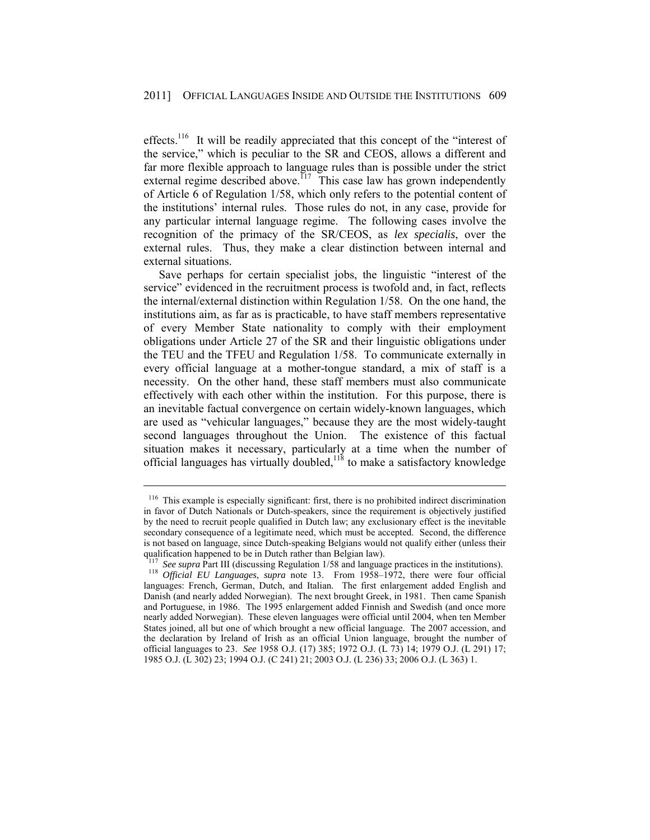effects.<sup>116</sup> It will be readily appreciated that this concept of the "interest of the service," which is peculiar to the SR and CEOS, allows a different and far more flexible approach to language rules than is possible under the strict external regime described above.<sup>117</sup> This case law has grown independently of Article  $\vec{6}$  of Regulation 1/58, which only refers to the potential content of the institutions' internal rules. Those rules do not, in any case, provide for any particular internal language regime. The following cases involve the recognition of the primacy of the SR/CEOS, as *lex specialis*, over the external rules. Thus, they make a clear distinction between internal and external situations.

Save perhaps for certain specialist jobs, the linguistic "interest of the service" evidenced in the recruitment process is twofold and, in fact, reflects the internal/external distinction within Regulation 1/58. On the one hand, the institutions aim, as far as is practicable, to have staff members representative of every Member State nationality to comply with their employment obligations under Article 27 of the SR and their linguistic obligations under the TEU and the TFEU and Regulation 1/58. To communicate externally in every official language at a mother-tongue standard, a mix of staff is a necessity. On the other hand, these staff members must also communicate effectively with each other within the institution. For this purpose, there is an inevitable factual convergence on certain widely-known languages, which are used as "vehicular languages," because they are the most widely-taught second languages throughout the Union. The existence of this factual situation makes it necessary, particularly at a time when the number of official languages has virtually doubled,  $118$  to make a satisfactory knowledge

<sup>&</sup>lt;sup>116</sup> This example is especially significant: first, there is no prohibited indirect discrimination in favor of Dutch Nationals or Dutch-speakers, since the requirement is objectively justified by the need to recruit people qualified in Dutch law; any exclusionary effect is the inevitable secondary consequence of a legitimate need, which must be accepted. Second, the difference is not based on language, since Dutch-speaking Belgians would not qualify either (unless their qualification happened to be in Dutch rather than Belgian law).<br> $117 \text{ See supra Part III (discussing Regulation 1/58 and language practices in the institutions).}$ 

<sup>118</sup> *Official EU Languages, supra* note 13. From 1958–1972, there were four official languages: French, German, Dutch, and Italian. The first enlargement added English and Danish (and nearly added Norwegian). The next brought Greek, in 1981. Then came Spanish and Portuguese, in 1986. The 1995 enlargement added Finnish and Swedish (and once more nearly added Norwegian). These eleven languages were official until 2004, when ten Member States joined, all but one of which brought a new official language. The 2007 accession, and the declaration by Ireland of Irish as an official Union language, brought the number of official languages to 23. *See* 1958 O.J. (17) 385; 1972 O.J. (L 73) 14; 1979 O.J. (L 291) 17; 1985 O.J. (L 302) 23; 1994 O.J. (C 241) 21; 2003 O.J. (L 236) 33; 2006 O.J. (L 363) 1.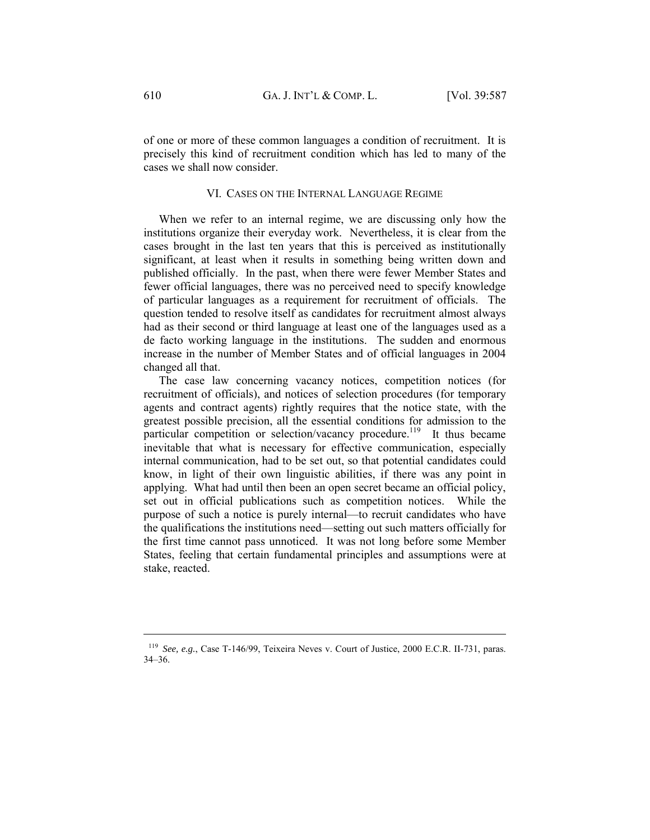of one or more of these common languages a condition of recruitment. It is precisely this kind of recruitment condition which has led to many of the cases we shall now consider.

#### VI. CASES ON THE INTERNAL LANGUAGE REGIME

When we refer to an internal regime, we are discussing only how the institutions organize their everyday work. Nevertheless, it is clear from the cases brought in the last ten years that this is perceived as institutionally significant, at least when it results in something being written down and published officially. In the past, when there were fewer Member States and fewer official languages, there was no perceived need to specify knowledge of particular languages as a requirement for recruitment of officials. The question tended to resolve itself as candidates for recruitment almost always had as their second or third language at least one of the languages used as a de facto working language in the institutions. The sudden and enormous increase in the number of Member States and of official languages in 2004 changed all that.

The case law concerning vacancy notices, competition notices (for recruitment of officials), and notices of selection procedures (for temporary agents and contract agents) rightly requires that the notice state, with the greatest possible precision, all the essential conditions for admission to the particular competition or selection/vacancy procedure.<sup>119</sup> It thus became inevitable that what is necessary for effective communication, especially internal communication, had to be set out, so that potential candidates could know, in light of their own linguistic abilities, if there was any point in applying. What had until then been an open secret became an official policy, set out in official publications such as competition notices. While the purpose of such a notice is purely internal—to recruit candidates who have the qualifications the institutions need—setting out such matters officially for the first time cannot pass unnoticed. It was not long before some Member States, feeling that certain fundamental principles and assumptions were at stake, reacted.

<sup>119</sup> *See, e.g.*, Case T-146/99, Teixeira Neves v. Court of Justice, 2000 E.C.R. II-731, paras. 34–36.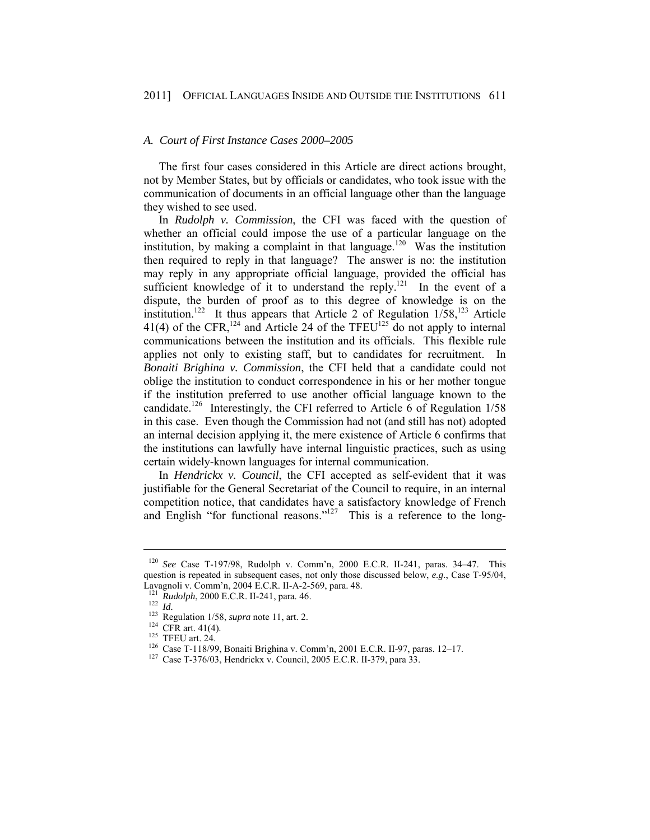#### *A. Court of First Instance Cases 2000–2005*

The first four cases considered in this Article are direct actions brought, not by Member States, but by officials or candidates, who took issue with the communication of documents in an official language other than the language they wished to see used.

In *Rudolph v. Commission*, the CFI was faced with the question of whether an official could impose the use of a particular language on the institution, by making a complaint in that language.<sup>120</sup> Was the institution then required to reply in that language? The answer is no: the institution may reply in any appropriate official language, provided the official has sufficient knowledge of it to understand the reply.<sup>121</sup> In the event of a dispute, the burden of proof as to this degree of knowledge is on the institution.<sup>122</sup> It thus appears that Article 2 of Regulation  $1/58$ ,<sup>123</sup> Article 41(4) of the CFR,<sup>124</sup> and Article 24 of the TFEU<sup>125</sup> do not apply to internal communications between the institution and its officials. This flexible rule applies not only to existing staff, but to candidates for recruitment. In *Bonaiti Brighina v. Commission*, the CFI held that a candidate could not oblige the institution to conduct correspondence in his or her mother tongue if the institution preferred to use another official language known to the candidate.<sup>126</sup> Interestingly, the CFI referred to Article 6 of Regulation  $1/58$ in this case. Even though the Commission had not (and still has not) adopted an internal decision applying it, the mere existence of Article 6 confirms that the institutions can lawfully have internal linguistic practices, such as using certain widely-known languages for internal communication.

In *Hendrickx v. Council*, the CFI accepted as self-evident that it was justifiable for the General Secretariat of the Council to require, in an internal competition notice, that candidates have a satisfactory knowledge of French and English "for functional reasons."<sup>127</sup> This is a reference to the long-

<sup>120</sup> *See* Case T-197/98, Rudolph v. Comm'n, 2000 E.C.R. II-241, paras. 34–47. This question is repeated in subsequent cases, not only those discussed below, *e.g.*, Case T-95/04, Lavagnoli v. Comm'n, 2004 E.C.R. II-A-2-569, para. 48.

<sup>&</sup>lt;sup>122</sup> *Id.*<br>
<sup>123</sup> Regulation 1/58, *supra* note 11, art. 2.<br>
<sup>123</sup> CFR art. 41(4).<br>
<sup>124</sup> CFR art. 41(4).<br>
<sup>126</sup> Case T-118/99, Bonaiti Brighina v. Comm'n, 2001 E.C.R. II-97, paras. 12–17.<br>
<sup>127</sup> Case T-376/03, Hendrickx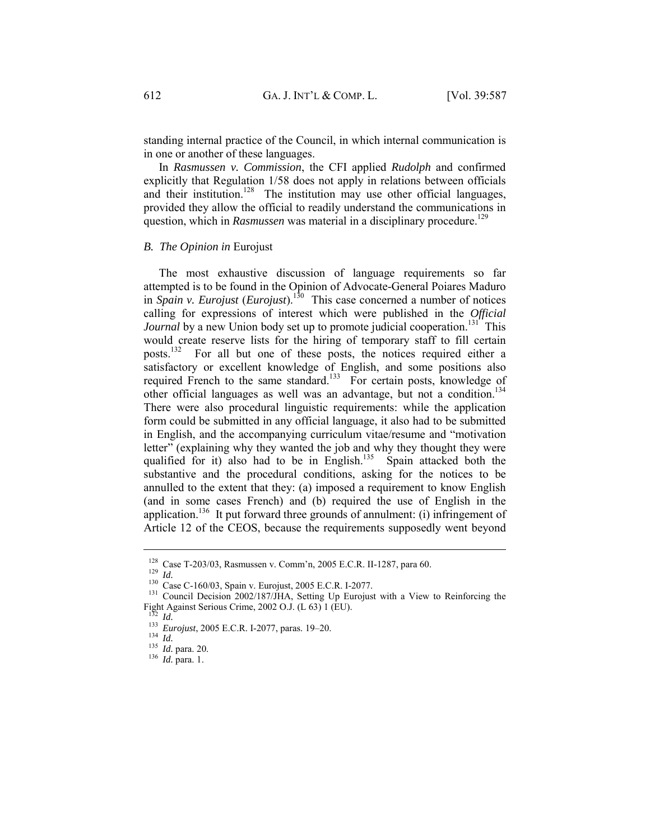standing internal practice of the Council, in which internal communication is in one or another of these languages.

In *Rasmussen v. Commission*, the CFI applied *Rudolph* and confirmed explicitly that Regulation 1/58 does not apply in relations between officials and their institution.<sup>128</sup> The institution may use other official languages, provided they allow the official to readily understand the communications in question, which in *Rasmussen* was material in a disciplinary procedure.<sup>129</sup>

#### *B. The Opinion in* Eurojust

The most exhaustive discussion of language requirements so far attempted is to be found in the Opinion of Advocate-General Poiares Maduro in *Spain v. Eurojust*  $(Eurojust)^{130}$  This case concerned a number of notices calling for expressions of interest which were published in the *Official Journal* by a new Union body set up to promote judicial cooperation.<sup>131</sup> This would create reserve lists for the hiring of temporary staff to fill certain posts.132 For all but one of these posts, the notices required either a satisfactory or excellent knowledge of English, and some positions also required French to the same standard.<sup>133</sup> For certain posts, knowledge of other official languages as well was an advantage, but not a condition.<sup>134</sup> There were also procedural linguistic requirements: while the application form could be submitted in any official language, it also had to be submitted in English, and the accompanying curriculum vitae/resume and "motivation letter" (explaining why they wanted the job and why they thought they were qualified for it) also had to be in English.<sup>135</sup> Spain attacked both the substantive and the procedural conditions, asking for the notices to be annulled to the extent that they: (a) imposed a requirement to know English (and in some cases French) and (b) required the use of English in the application.<sup>136</sup> It put forward three grounds of annulment: (i) infringement of Article 12 of the CEOS, because the requirements supposedly went beyond

<sup>&</sup>lt;sup>128</sup> Case T-203/03, Rasmussen v. Comm'n, 2005 E.C.R. II-1287, para 60.<br><sup>129</sup> *Id.*<br><sup>130</sup> Case C-160/03, Spain v. Eurojust, 2005 E.C.R. I-2077.<br><sup>131</sup> Council Decision 2002/187/JHA, Setting Up Eurojust with a View to Reinf Fight Against Serious Crime, 2002 O.J. (L 63) 1 (EU).

<sup>1&</sup>lt;sup>32</sup> *Id.* 133 *Eurojust*, 2005 E.C.R. I-2077, paras. 19–20.<br>
<sup>134</sup> *Id.* 135 *Id.* para. 20. <sup>136</sup> *Id.* para. 1.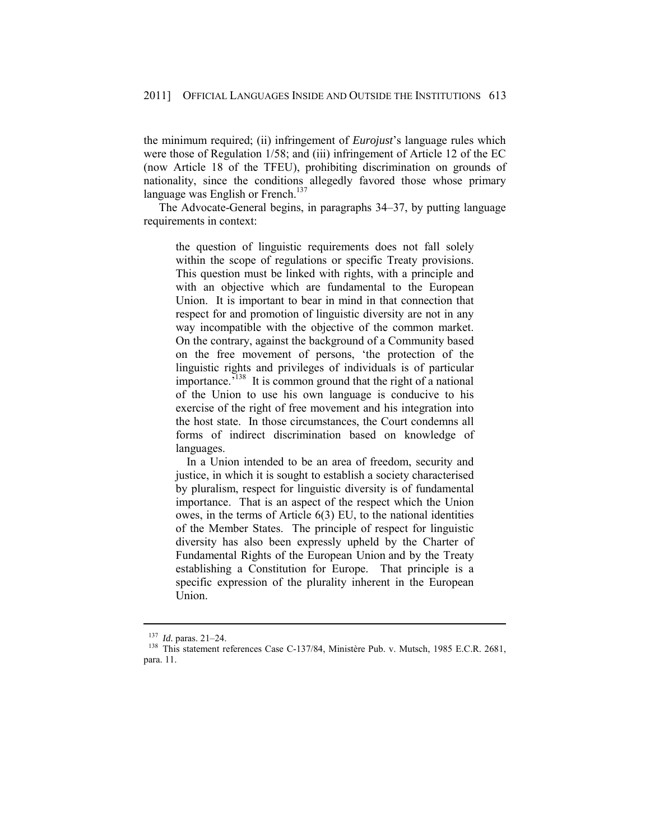the minimum required; (ii) infringement of *Eurojust*'s language rules which were those of Regulation 1/58; and (iii) infringement of Article 12 of the EC (now Article 18 of the TFEU), prohibiting discrimination on grounds of nationality, since the conditions allegedly favored those whose primary language was English or French. $137$ 

The Advocate-General begins, in paragraphs 34–37, by putting language requirements in context:

the question of linguistic requirements does not fall solely within the scope of regulations or specific Treaty provisions. This question must be linked with rights, with a principle and with an objective which are fundamental to the European Union. It is important to bear in mind in that connection that respect for and promotion of linguistic diversity are not in any way incompatible with the objective of the common market. On the contrary, against the background of a Community based on the free movement of persons, 'the protection of the linguistic rights and privileges of individuals is of particular importance.<sup>7138</sup> It is common ground that the right of a national of the Union to use his own language is conducive to his exercise of the right of free movement and his integration into the host state. In those circumstances, the Court condemns all forms of indirect discrimination based on knowledge of languages.

 In a Union intended to be an area of freedom, security and justice, in which it is sought to establish a society characterised by pluralism, respect for linguistic diversity is of fundamental importance. That is an aspect of the respect which the Union owes, in the terms of Article 6(3) EU, to the national identities of the Member States. The principle of respect for linguistic diversity has also been expressly upheld by the Charter of Fundamental Rights of the European Union and by the Treaty establishing a Constitution for Europe. That principle is a specific expression of the plurality inherent in the European Union.

<sup>&</sup>lt;sup>137</sup> *Id.* paras. 21–24.<br><sup>138</sup> This statement references Case C-137/84, Ministère Pub. v. Mutsch, 1985 E.C.R. 2681, para. 11.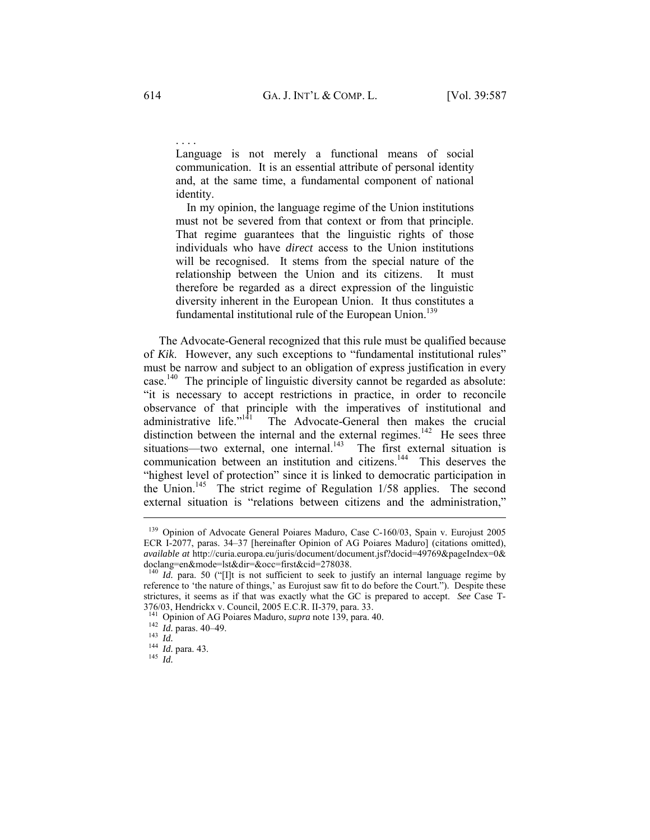Language is not merely a functional means of social communication. It is an essential attribute of personal identity and, at the same time, a fundamental component of national identity.

 In my opinion, the language regime of the Union institutions must not be severed from that context or from that principle. That regime guarantees that the linguistic rights of those individuals who have *direct* access to the Union institutions will be recognised. It stems from the special nature of the relationship between the Union and its citizens. It must therefore be regarded as a direct expression of the linguistic diversity inherent in the European Union. It thus constitutes a fundamental institutional rule of the European Union.<sup>139</sup>

The Advocate-General recognized that this rule must be qualified because of *Kik*. However, any such exceptions to "fundamental institutional rules" must be narrow and subject to an obligation of express justification in every case.140 The principle of linguistic diversity cannot be regarded as absolute: "it is necessary to accept restrictions in practice, in order to reconcile observance of that principle with the imperatives of institutional and administrative life." $141$  The Advocate-General then makes the crucial distinction between the internal and the external regimes.<sup>142</sup> He sees three situations—two external, one internal.<sup>143</sup> The first external situation is communication between an institution and citizens.144 This deserves the "highest level of protection" since it is linked to democratic participation in the Union.<sup>145</sup> The strict regime of Regulation 1/58 applies. The second external situation is "relations between citizens and the administration,"

 $\overline{a}$ 

. . . .

<sup>&</sup>lt;sup>139</sup> Opinion of Advocate General Poiares Maduro, Case C-160/03, Spain v. Eurojust 2005 ECR I-2077, paras. 34–37 [hereinafter Opinion of AG Poiares Maduro] (citations omitted), *available at* http://curia.europa.eu/juris/document/document.jsf?docid=49769&pageIndex=0& doclang=en&mode=lst&dir=&occ=first&cid=278038.

<sup>&</sup>lt;sup>140</sup> *Id.* para. 50 ("[I]t is not sufficient to seek to justify an internal language regime by reference to 'the nature of things,' as Eurojust saw fit to do before the Court."). Despite these strictures, it seems as if that was exactly what the GC is prepared to accept. *See* Case T-376/03, Hendrickx v. Council, 2005 E.C.R. II-379, para. 33.

<sup>141</sup> Opinion of AG Poiares Maduro, *supra* note 139, para. 40. 142 *Id.* paras. 40–49. 143 *Id.* <sup>144</sup> *Id.* para. 43. 145 *Id.*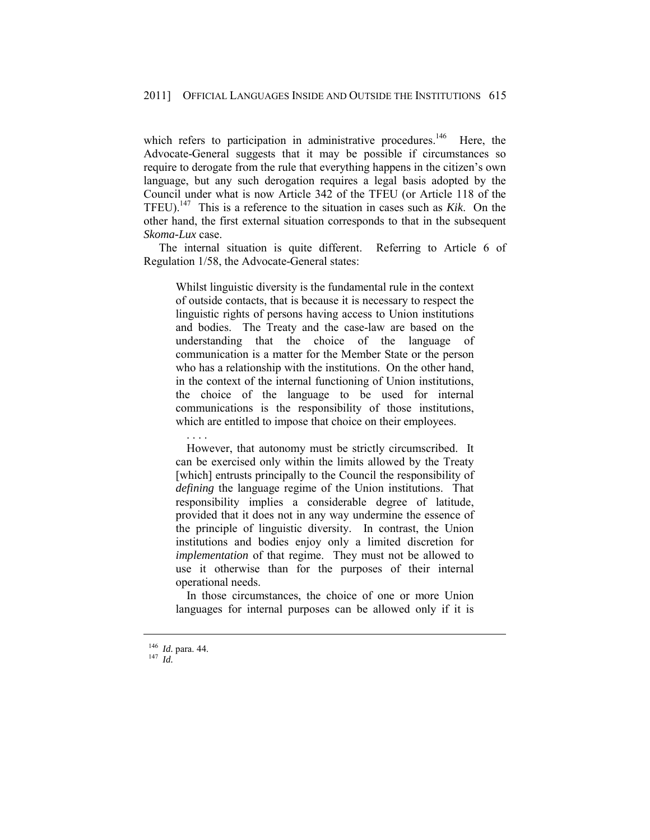which refers to participation in administrative procedures.<sup>146</sup> Here, the Advocate-General suggests that it may be possible if circumstances so require to derogate from the rule that everything happens in the citizen's own language, but any such derogation requires a legal basis adopted by the Council under what is now Article 342 of the TFEU (or Article 118 of the TFEU).147 This is a reference to the situation in cases such as *Kik*. On the other hand, the first external situation corresponds to that in the subsequent *Skoma-Lux* case.

The internal situation is quite different. Referring to Article 6 of Regulation 1/58, the Advocate-General states:

Whilst linguistic diversity is the fundamental rule in the context of outside contacts, that is because it is necessary to respect the linguistic rights of persons having access to Union institutions and bodies. The Treaty and the case-law are based on the understanding that the choice of the language of communication is a matter for the Member State or the person who has a relationship with the institutions. On the other hand, in the context of the internal functioning of Union institutions, the choice of the language to be used for internal communications is the responsibility of those institutions, which are entitled to impose that choice on their employees.

 . . . . However, that autonomy must be strictly circumscribed. It can be exercised only within the limits allowed by the Treaty [which] entrusts principally to the Council the responsibility of *defining* the language regime of the Union institutions. That responsibility implies a considerable degree of latitude, provided that it does not in any way undermine the essence of the principle of linguistic diversity. In contrast, the Union institutions and bodies enjoy only a limited discretion for *implementation* of that regime. They must not be allowed to use it otherwise than for the purposes of their internal operational needs.

 In those circumstances, the choice of one or more Union languages for internal purposes can be allowed only if it is

<sup>146</sup> *Id.* para. 44. 147 *Id.*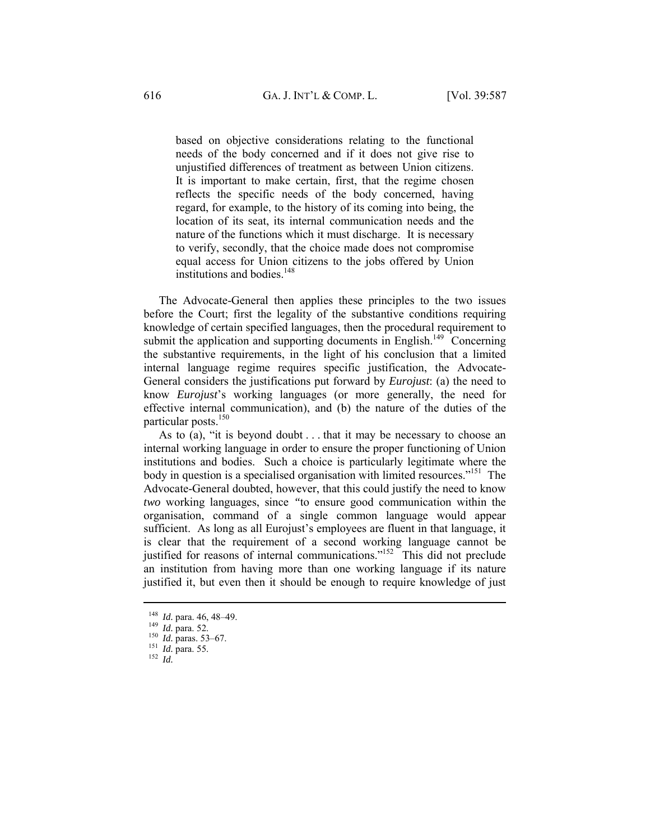based on objective considerations relating to the functional needs of the body concerned and if it does not give rise to unjustified differences of treatment as between Union citizens. It is important to make certain, first, that the regime chosen reflects the specific needs of the body concerned, having regard, for example, to the history of its coming into being, the location of its seat, its internal communication needs and the nature of the functions which it must discharge. It is necessary to verify, secondly, that the choice made does not compromise equal access for Union citizens to the jobs offered by Union institutions and bodies.<sup>148</sup>

The Advocate-General then applies these principles to the two issues before the Court; first the legality of the substantive conditions requiring knowledge of certain specified languages, then the procedural requirement to submit the application and supporting documents in English.<sup>149</sup> Concerning the substantive requirements, in the light of his conclusion that a limited internal language regime requires specific justification, the Advocate-General considers the justifications put forward by *Eurojust*: (a) the need to know *Eurojust*'s working languages (or more generally, the need for effective internal communication), and (b) the nature of the duties of the particular posts.<sup>150</sup>

As to (a), "it is beyond doubt . . . that it may be necessary to choose an internal working language in order to ensure the proper functioning of Union institutions and bodies. Such a choice is particularly legitimate where the body in question is a specialised organisation with limited resources."151 The Advocate-General doubted, however, that this could justify the need to know *two* working languages, since *"*to ensure good communication within the organisation, command of a single common language would appear sufficient. As long as all Eurojust's employees are fluent in that language, it is clear that the requirement of a second working language cannot be justified for reasons of internal communications."152 This did not preclude an institution from having more than one working language if its nature justified it, but even then it should be enough to require knowledge of just

<sup>148</sup> *Id.* para. 46, 48–49. 149 *Id.* para. 52. 150 *Id.* paras. 53–67. 151 *Id.* para. 55. 152 *Id.*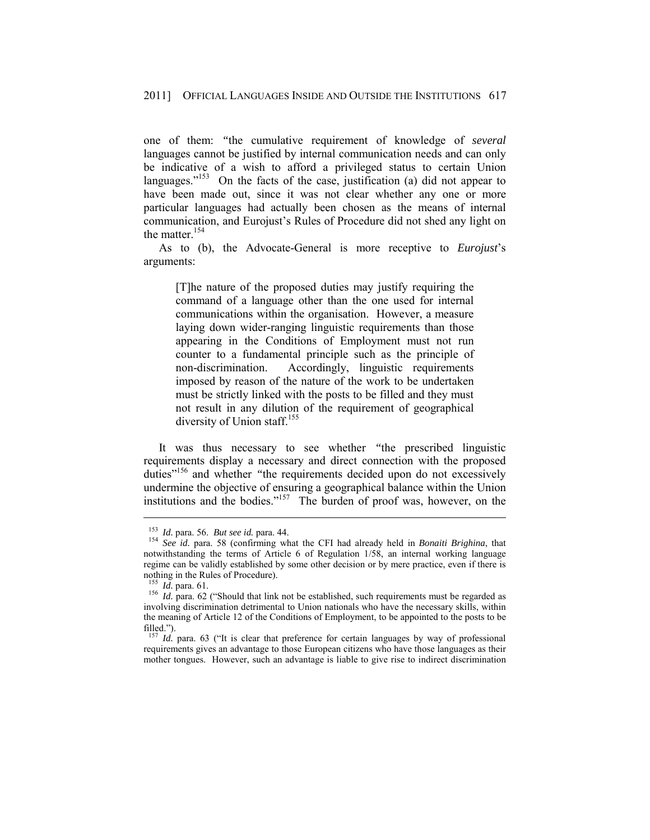one of them: *"*the cumulative requirement of knowledge of *several* languages cannot be justified by internal communication needs and can only be indicative of a wish to afford a privileged status to certain Union languages."<sup>153</sup> On the facts of the case, justification (a) did not appear to have been made out, since it was not clear whether any one or more particular languages had actually been chosen as the means of internal communication, and Eurojust's Rules of Procedure did not shed any light on the matter.154

As to (b), the Advocate-General is more receptive to *Eurojust*'s arguments:

[T]he nature of the proposed duties may justify requiring the command of a language other than the one used for internal communications within the organisation. However, a measure laying down wider-ranging linguistic requirements than those appearing in the Conditions of Employment must not run counter to a fundamental principle such as the principle of non-discrimination. Accordingly, linguistic requirements imposed by reason of the nature of the work to be undertaken must be strictly linked with the posts to be filled and they must not result in any dilution of the requirement of geographical diversity of Union staff.<sup>155</sup>

It was thus necessary to see whether *"*the prescribed linguistic requirements display a necessary and direct connection with the proposed duties"<sup>156</sup> and whether "the requirements decided upon do not excessively undermine the objective of ensuring a geographical balance within the Union institutions and the bodies." $157$  The burden of proof was, however, on the

<sup>153</sup> *Id.* para. 56. *But see id.* para. 44. 154 *See id.* para. 58 (confirming what the CFI had already held in *Bonaiti Brighina*, that notwithstanding the terms of Article 6 of Regulation 1/58, an internal working language regime can be validly established by some other decision or by mere practice, even if there is nothing in the Rules of Procedure).<br> $^{155}$  *Id.* para. 61.

<sup>&</sup>lt;sup>156</sup> *Id.* para. 62 ("Should that link not be established, such requirements must be regarded as involving discrimination detrimental to Union nationals who have the necessary skills, within the meaning of Article 12 of the Conditions of Employment, to be appointed to the posts to be filled.").

 $157$  *Id.* para. 63 ("It is clear that preference for certain languages by way of professional requirements gives an advantage to those European citizens who have those languages as their mother tongues. However, such an advantage is liable to give rise to indirect discrimination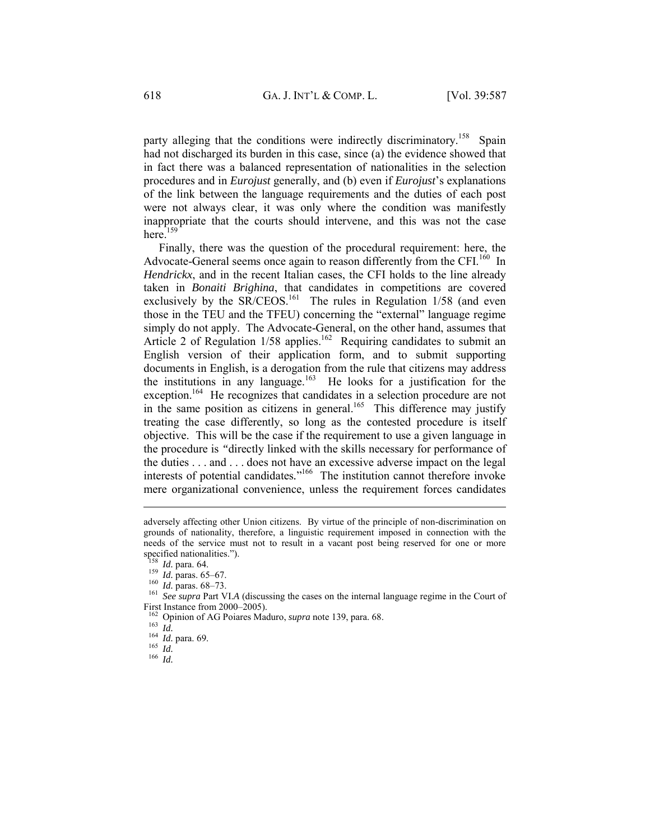party alleging that the conditions were indirectly discriminatory.<sup>158</sup> Spain had not discharged its burden in this case, since (a) the evidence showed that in fact there was a balanced representation of nationalities in the selection procedures and in *Eurojust* generally, and (b) even if *Eurojust*'s explanations of the link between the language requirements and the duties of each post were not always clear, it was only where the condition was manifestly inappropriate that the courts should intervene, and this was not the case  $here.$ <sup>159</sup>

Finally, there was the question of the procedural requirement: here, the Advocate-General seems once again to reason differently from the CFI.<sup>160</sup> In *Hendrickx*, and in the recent Italian cases, the CFI holds to the line already taken in *Bonaiti Brighina*, that candidates in competitions are covered exclusively by the  $SR/CEOS$ <sup>161</sup>. The rules in Regulation 1/58 (and even those in the TEU and the TFEU) concerning the "external" language regime simply do not apply. The Advocate-General, on the other hand, assumes that Article 2 of Regulation 1/58 applies.<sup>162</sup> Requiring candidates to submit an English version of their application form, and to submit supporting documents in English, is a derogation from the rule that citizens may address the institutions in any language.<sup>163</sup> He looks for a justification for the exception.<sup>164</sup> He recognizes that candidates in a selection procedure are not in the same position as citizens in general.<sup>165</sup> This difference may justify treating the case differently, so long as the contested procedure is itself objective. This will be the case if the requirement to use a given language in the procedure is *"*directly linked with the skills necessary for performance of the duties . . . and . . . does not have an excessive adverse impact on the legal interests of potential candidates*.*" 166 The institution cannot therefore invoke mere organizational convenience, unless the requirement forces candidates

adversely affecting other Union citizens. By virtue of the principle of non-discrimination on grounds of nationality, therefore, a linguistic requirement imposed in connection with the needs of the service must not to result in a vacant post being reserved for one or more specified nationalities.").<br> $^{158}$  *Id.* para. 64.

<sup>159</sup> *Id.* paras. 65–67.<br><sup>159</sup> *Id.* paras. 65–67.<br><sup>160</sup> *Id.* paras. 68–73.<br><sup>161</sup> *See supra* Part VI.A (discussing the cases on the internal language regime in the Court of First Instance from 2000–2005).

<sup>162</sup> Opinion of AG Poiares Maduro, *supra* note 139, para. 68. 163 *Id.* <sup>164</sup> *Id.* para. 69. 165 *Id.* <sup>166</sup> *Id.*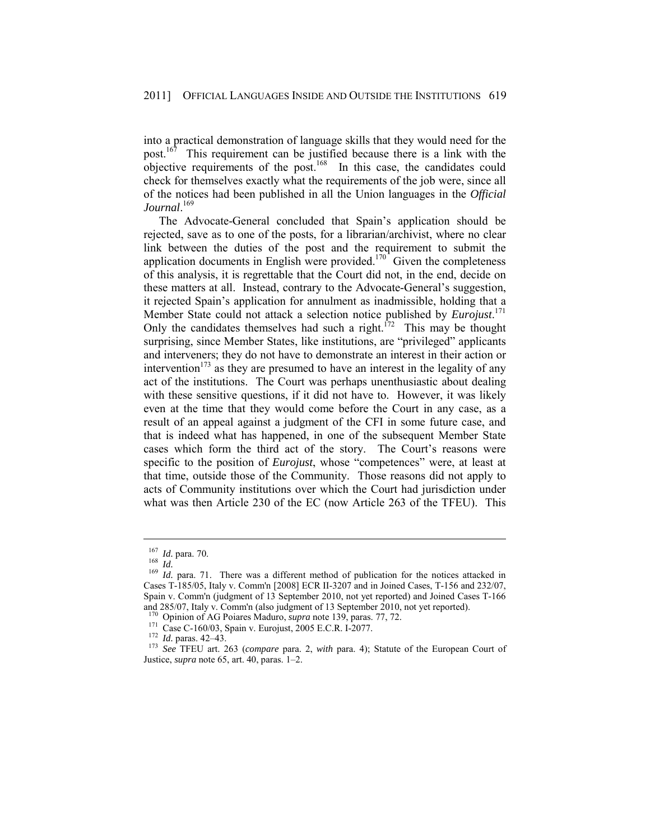into a practical demonstration of language skills that they would need for the post.<sup>167</sup> This requirement can be justified because there is a link with the  $\omega$  objective requirements of the post.<sup>168</sup> In this case, the candidates could check for themselves exactly what the requirements of the job were, since all of the notices had been published in all the Union languages in the *Official Journal*. 169

The Advocate-General concluded that Spain's application should be rejected, save as to one of the posts, for a librarian/archivist, where no clear link between the duties of the post and the requirement to submit the application documents in English were provided.<sup>170</sup> Given the completeness of this analysis, it is regrettable that the Court did not, in the end, decide on these matters at all. Instead, contrary to the Advocate-General's suggestion, it rejected Spain's application for annulment as inadmissible, holding that a Member State could not attack a selection notice published by *Eurojust*. 171 Only the candidates themselves had such a right.<sup> $172$ </sup> This may be thought surprising, since Member States, like institutions, are "privileged" applicants and interveners; they do not have to demonstrate an interest in their action or intervention<sup>173</sup> as they are presumed to have an interest in the legality of any act of the institutions. The Court was perhaps unenthusiastic about dealing with these sensitive questions, if it did not have to. However, it was likely even at the time that they would come before the Court in any case, as a result of an appeal against a judgment of the CFI in some future case, and that is indeed what has happened, in one of the subsequent Member State cases which form the third act of the story. The Court's reasons were specific to the position of *Eurojust*, whose "competences" were, at least at that time, outside those of the Community. Those reasons did not apply to acts of Community institutions over which the Court had jurisdiction under what was then Article 230 of the EC (now Article 263 of the TFEU). This

<sup>&</sup>lt;sup>167</sup> *Id.* para. 70.<br><sup>168</sup> *Id. Id.* para. 71. There was a different method of publication for the notices attacked in Cases T-185/05, Italy v. Comm'n [2008] ECR II-3207 and in Joined Cases, T-156 and 232/07, Spain v. Comm'n (judgment of 13 September 2010, not yet reported) and Joined Cases T-166 and 285/07, Italy v. Comm'n (also judgment of 13 September 2010, not yet reported).  $^{170}$  Opinion of AG Poiares Maduro, *supra* note 139, paras. 77, 72.

<sup>&</sup>lt;sup>171</sup> Case C-160/03, Spain v. Eurojust, 2005 E.C.R. I-2077.<br><sup>172</sup> *Id.* paras. 42–43.<br><sup>173</sup> See TFEU art. 263 (compare para. 2, with para. 4); Statute of the European Court of Justice, *supra* note 65, art. 40, paras. 1–2.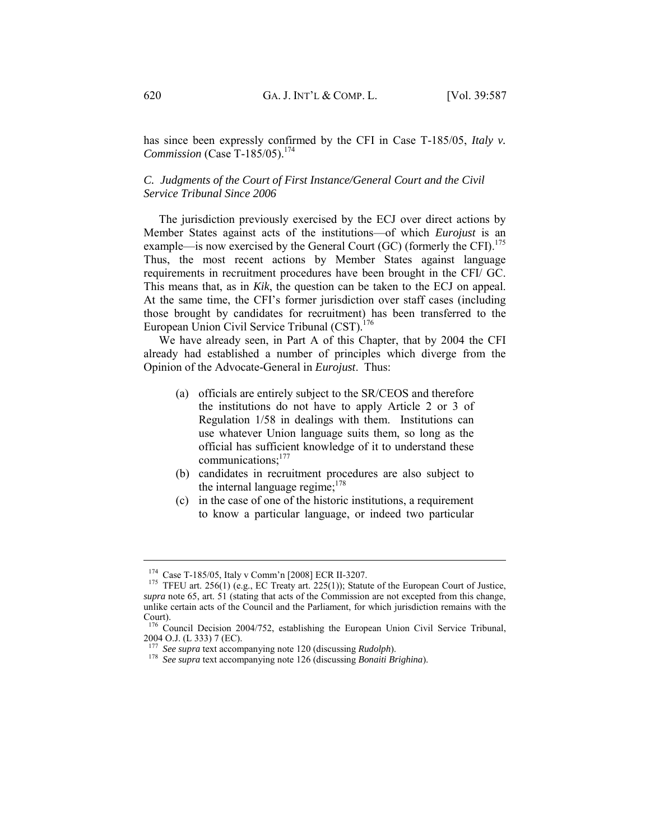has since been expressly confirmed by the CFI in Case T-185/05, *Italy v. Commission* (Case T-185/05).<sup>174</sup>

# *C. Judgments of the Court of First Instance/General Court and the Civil Service Tribunal Since 2006*

The jurisdiction previously exercised by the ECJ over direct actions by Member States against acts of the institutions—of which *Eurojust* is an example—is now exercised by the General Court  $(GC)$  (formerly the CFI).<sup>175</sup> Thus, the most recent actions by Member States against language requirements in recruitment procedures have been brought in the CFI/ GC. This means that, as in *Kik*, the question can be taken to the ECJ on appeal. At the same time, the CFI's former jurisdiction over staff cases (including those brought by candidates for recruitment) has been transferred to the European Union Civil Service Tribunal (CST).<sup>176</sup>

We have already seen, in Part A of this Chapter, that by 2004 the CFI already had established a number of principles which diverge from the Opinion of the Advocate-General in *Eurojust*. Thus:

- (a) officials are entirely subject to the SR/CEOS and therefore the institutions do not have to apply Article 2 or 3 of Regulation 1/58 in dealings with them. Institutions can use whatever Union language suits them, so long as the official has sufficient knowledge of it to understand these communications;177
- (b) candidates in recruitment procedures are also subject to the internal language regime;<sup>178</sup>
- (c) in the case of one of the historic institutions, a requirement to know a particular language, or indeed two particular

<sup>&</sup>lt;sup>174</sup> Case T-185/05, Italy v Comm'n [2008] ECR II-3207.<br><sup>175</sup> TFEU art. 256(1) (e.g., EC Treaty art. 225(1)); Statute of the European Court of Justice, *supra* note 65, art. 51 (stating that acts of the Commission are not excepted from this change, unlike certain acts of the Council and the Parliament, for which jurisdiction remains with the Court).

<sup>&</sup>lt;sup>176</sup> Council Decision 2004/752, establishing the European Union Civil Service Tribunal, 2004 O.J. (L 333) 7 (EC).<br> $177$  See supra text accompanying note 120 (discussing *Rudolph*).

<sup>&</sup>lt;sup>178</sup> *See supra* text accompanying note 126 (discussing *Bonaiti Brighina*).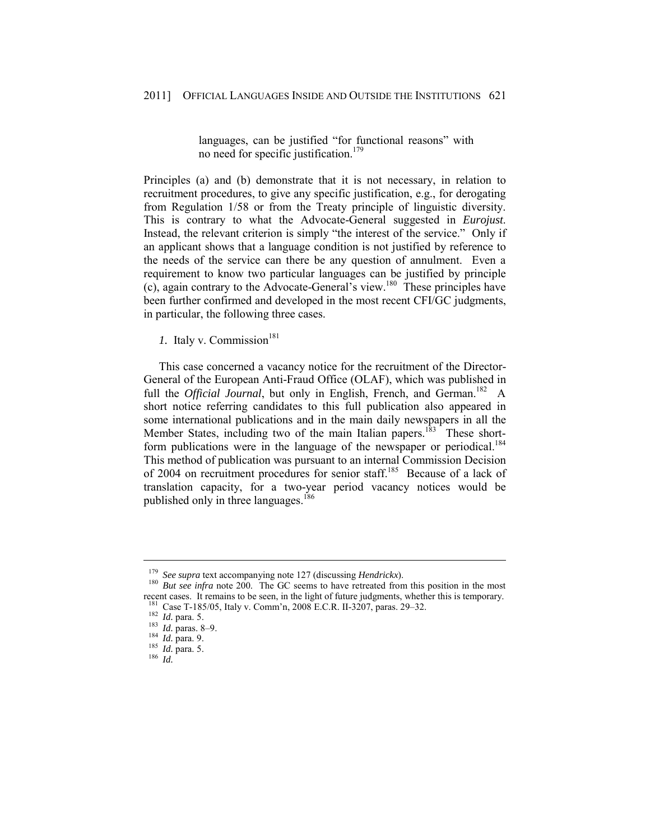languages, can be justified "for functional reasons" with no need for specific justification.<sup>179</sup>

Principles (a) and (b) demonstrate that it is not necessary, in relation to recruitment procedures, to give any specific justification, e.g., for derogating from Regulation 1/58 or from the Treaty principle of linguistic diversity. This is contrary to what the Advocate-General suggested in *Eurojust*. Instead, the relevant criterion is simply "the interest of the service." Only if an applicant shows that a language condition is not justified by reference to the needs of the service can there be any question of annulment. Even a requirement to know two particular languages can be justified by principle (c), again contrary to the Advocate-General's view.<sup>180</sup> These principles have been further confirmed and developed in the most recent CFI/GC judgments, in particular, the following three cases.

*1.* Italy v. Commission<sup>181</sup>

This case concerned a vacancy notice for the recruitment of the Director-General of the European Anti-Fraud Office (OLAF), which was published in full the *Official Journal*, but only in English, French, and German.<sup>182</sup> A short notice referring candidates to this full publication also appeared in some international publications and in the main daily newspapers in all the Member States, including two of the main Italian papers.<sup>183</sup> These shortform publications were in the language of the newspaper or periodical.<sup>184</sup> This method of publication was pursuant to an internal Commission Decision of 2004 on recruitment procedures for senior staff.<sup>185</sup> Because of a lack of translation capacity, for a two-year period vacancy notices would be published only in three languages.<sup>186</sup>

<sup>179</sup> *See supra* text accompanying note 127 (discussing *Hendrickx*). 180 *But see infra* note 200. The GC seems to have retreated from this position in the most recent cases. It remains to be seen, in the light of future judgments, whether this is temporary. 181 Case T-185/05, Italy v. Comm'n, 2008 E.C.R. II-3207, paras. 29–32.<br>
<sup>182</sup> *Id.* para. 5.<br>
<sup>183</sup> *Id.* para. 8–9.<br>
<sup>184</sup> *Id.* para. 9.<br>
<sup>185</sup> *Id.* para. 5.<br>
<sup>186</sup> *Id. Id.* para. 5.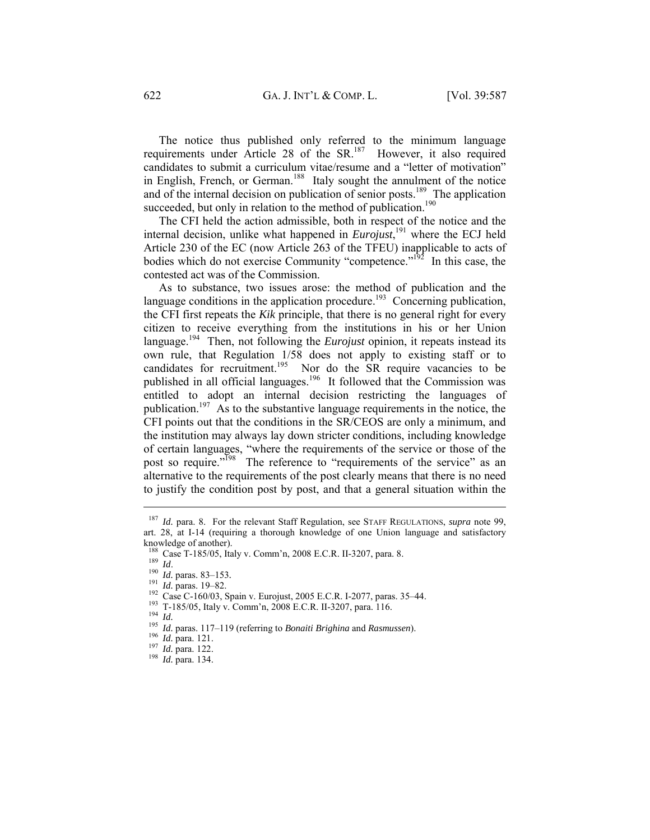The notice thus published only referred to the minimum language requirements under Article 28 of the SR.<sup>187</sup> However, it also required candidates to submit a curriculum vitae/resume and a "letter of motivation" in English, French, or German.<sup>188</sup> Italy sought the annulment of the notice and of the internal decision on publication of senior posts.<sup>189</sup> The application succeeded, but only in relation to the method of publication.<sup>190</sup>

The CFI held the action admissible, both in respect of the notice and the internal decision, unlike what happened in *Eurojust*, 191 where the ECJ held Article 230 of the EC (now Article 263 of the TFEU) inapplicable to acts of bodies which do not exercise Community "competence." $192$  In this case, the contested act was of the Commission.

As to substance, two issues arose: the method of publication and the language conditions in the application procedure.<sup>193</sup> Concerning publication, the CFI first repeats the *Kik* principle, that there is no general right for every citizen to receive everything from the institutions in his or her Union language.<sup>194</sup> Then, not following the *Eurojust* opinion, it repeats instead its own rule, that Regulation 1/58 does not apply to existing staff or to candidates for recruitment.<sup>195</sup> Nor do the SR require vacancies to be published in all official languages.196 It followed that the Commission was entitled to adopt an internal decision restricting the languages of publication.<sup>197</sup> As to the substantive language requirements in the notice, the CFI points out that the conditions in the SR/CEOS are only a minimum, and the institution may always lay down stricter conditions, including knowledge of certain languages, "where the requirements of the service or those of the post so require."<sup>198</sup> The reference to "requirements of the service" as an alternative to the requirements of the post clearly means that there is no need to justify the condition post by post, and that a general situation within the

<sup>187</sup> *Id.* para. 8. For the relevant Staff Regulation, see STAFF REGULATIONS, *supra* note 99, art. 28, at I-14 (requiring a thorough knowledge of one Union language and satisfactory knowledge of another).<br><sup>188</sup> Case T-185/05, Italy v. Comm'n, 2008 E.C.R. II-3207, para. 8.

<sup>&</sup>lt;sup>189</sup> *Id.* paras. 83–153.<br>
<sup>191</sup> *Id.* paras. 83–153.<br>
<sup>191</sup> *Id.* paras. 19–82.<br>
<sup>191</sup> Case C-160/03, Spain v. Eurojust, 2005 E.C.R. I-2077, paras. 35–44.<br>
<sup>193</sup> T-185/05, Italy v. Comm'n, 2008 E.C.R. II-3207, para. 116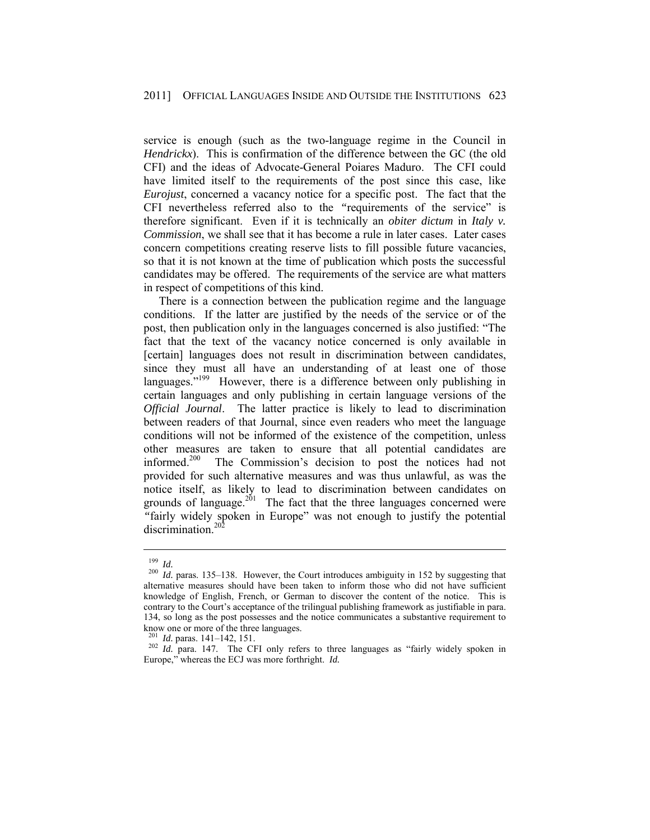service is enough (such as the two-language regime in the Council in *Hendrickx*). This is confirmation of the difference between the GC (the old CFI) and the ideas of Advocate-General Poiares Maduro. The CFI could have limited itself to the requirements of the post since this case, like *Eurojust*, concerned a vacancy notice for a specific post. The fact that the CFI nevertheless referred also to the *"*requirements of the service" is therefore significant. Even if it is technically an *obiter dictum* in *Italy v. Commission*, we shall see that it has become a rule in later cases. Later cases concern competitions creating reserve lists to fill possible future vacancies, so that it is not known at the time of publication which posts the successful candidates may be offered. The requirements of the service are what matters in respect of competitions of this kind.

There is a connection between the publication regime and the language conditions. If the latter are justified by the needs of the service or of the post, then publication only in the languages concerned is also justified: "The fact that the text of the vacancy notice concerned is only available in [certain] languages does not result in discrimination between candidates, since they must all have an understanding of at least one of those languages."<sup>199</sup> However, there is a difference between only publishing in certain languages and only publishing in certain language versions of the *Official Journal*. The latter practice is likely to lead to discrimination between readers of that Journal, since even readers who meet the language conditions will not be informed of the existence of the competition, unless other measures are taken to ensure that all potential candidates are informed.200 The Commission's decision to post the notices had not provided for such alternative measures and was thus unlawful, as was the notice itself, as likely to lead to discrimination between candidates on grounds of language.<sup>201</sup> The fact that the three languages concerned were *"*fairly widely spoken in Europe" was not enough to justify the potential discrimination.<sup>202</sup>

<sup>199</sup> *Id.* <sup>200</sup> *Id.* paras. 135–138. However, the Court introduces ambiguity in 152 by suggesting that alternative measures should have been taken to inform those who did not have sufficient knowledge of English, French, or German to discover the content of the notice. This is contrary to the Court's acceptance of the trilingual publishing framework as justifiable in para. 134, so long as the post possesses and the notice communicates a substantive requirement to know one or more of the three languages.<br> $^{201}$  *Id.* paras. 141–142, 151.

<sup>&</sup>lt;sup>202</sup> *Id.* para. 147. The CFI only refers to three languages as "fairly widely spoken in Europe," whereas the ECJ was more forthright. *Id.*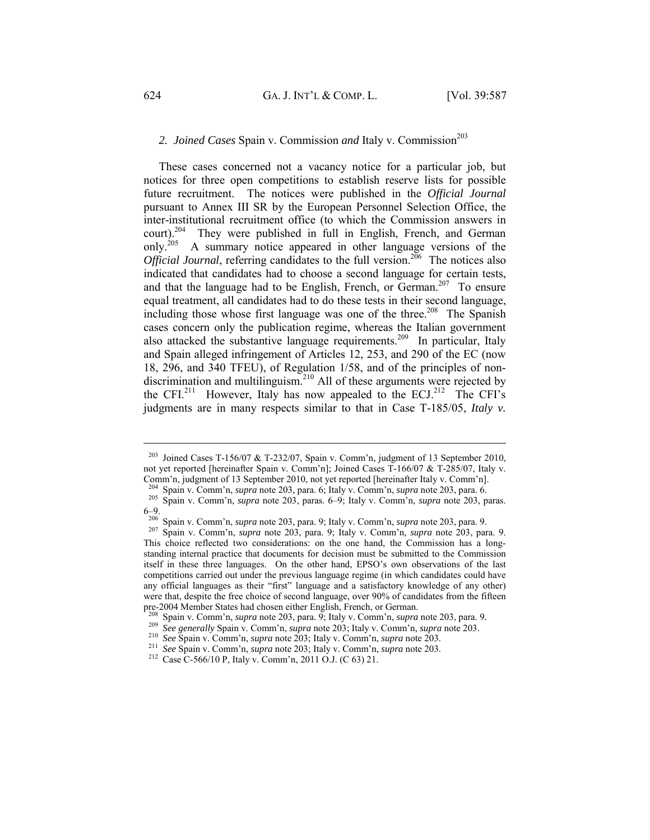# 2. *Joined Cases Spain v. Commission and Italy v. Commission*<sup>203</sup>

These cases concerned not a vacancy notice for a particular job, but notices for three open competitions to establish reserve lists for possible future recruitment. The notices were published in the *Official Journal* pursuant to Annex III SR by the European Personnel Selection Office, the inter-institutional recruitment office (to which the Commission answers in court).<sup>204</sup> They were published in full in English, French, and German only.<sup>205</sup> A summary notice appeared in other language versions of the *Official Journal*, referring candidates to the full version.<sup>206</sup> The notices also indicated that candidates had to choose a second language for certain tests, and that the language had to be English, French, or German.<sup>207</sup> To ensure equal treatment, all candidates had to do these tests in their second language, including those whose first language was one of the three.<sup>208</sup> The Spanish cases concern only the publication regime, whereas the Italian government also attacked the substantive language requirements.<sup>209</sup> In particular, Italy and Spain alleged infringement of Articles 12, 253, and 290 of the EC (now 18, 296, and 340 TFEU), of Regulation 1/58, and of the principles of nondiscrimination and multilinguism.<sup>210</sup> All of these arguments were rejected by the CFI.<sup>211</sup> However, Italy has now appealed to the ECJ.<sup>212</sup> The CFI's judgments are in many respects similar to that in Case T-185/05, *Italy v.* 

<sup>&</sup>lt;sup>203</sup> Joined Cases T-156/07 & T-232/07, Spain v. Comm'n, judgment of 13 September 2010, not yet reported [hereinafter Spain v. Comm'n]; Joined Cases T-166/07 & T-285/07, Italy v. Comm'n, judgment of 13 September 2010, not yet reported [hereinafter Italy v. Comm'n].<br><sup>204</sup> Spain v. Comm'n, *supra* note 203, para. 6; Italy v. Comm'n, *supra* note 203, para. 6.

<sup>&</sup>lt;sup>205</sup> Spain v. Comm'n, *supra* note 203, paras. 6–9; Italy v. Comm'n, *supra* note 203, paras. 6–9.<br> $^{206}_{206}$  Spain v. Comm'n, *supra* note 203, para. 9; Italy v. Comm'n, *supra* note 203, para. 9.

<sup>206</sup> Spain v. Comm'n, *supra* note 203, para. 9; Italy v. Comm'n, *supra* note 203, para. 9. 207 Spain v. Comm'n, *supra* note 203, para. 9; Italy v. Comm'n, *supra* note 203, para. 9. This choice reflected two considerations: on the one hand, the Commission has a longstanding internal practice that documents for decision must be submitted to the Commission itself in these three languages. On the other hand, EPSO's own observations of the last competitions carried out under the previous language regime (in which candidates could have any official languages as their "first" language and a satisfactory knowledge of any other) were that, despite the free choice of second language, over 90% of candidates from the fifteen pre-2004 Member States had chosen either English, French, or German.<br><sup>208</sup> Spain v. Comm'n, *supra* note 203, para. 9; Italy v. Comm'n, *supra* note 203, para. 9.

<sup>&</sup>lt;sup>209</sup> See generally Spain v. Comm'n, *supra* note 203; Italy v. Comm'n, *supra* note 203.<br><sup>200</sup> See Spain v. Comm'n, *supra* note 203; Italy v. Comm'n, *supra* note 203.<br><sup>211</sup> See Spain v. Comm'n, *supra* note 203; Italy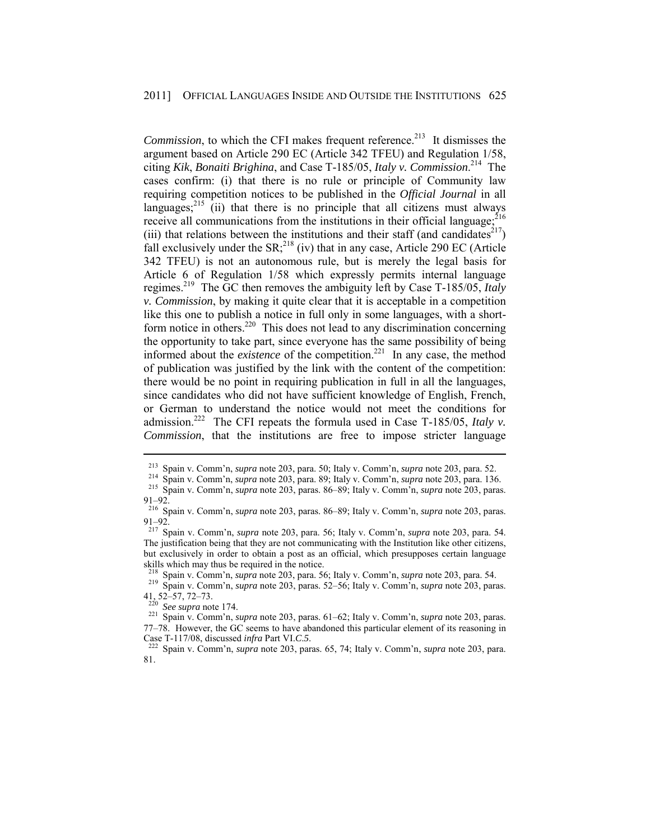*Commission*, to which the CFI makes frequent reference.<sup>213</sup> It dismisses the argument based on Article 290 EC (Article 342 TFEU) and Regulation 1/58, citing *Kik*, *Bonaiti Brighina*, and Case T-185/05, *Italy v. Commission*. 214 The cases confirm: (i) that there is no rule or principle of Community law requiring competition notices to be published in the *Official Journal* in all languages; $^{215}$  (ii) that there is no principle that all citizens must always receive all communications from the institutions in their official language;  $^{216}$ (iii) that relations between the institutions and their staff (and candidates<sup>217</sup>) fall exclusively under the  $SR<sub>1</sub><sup>218</sup>$  (iv) that in any case, Article 290 EC (Article 342 TFEU) is not an autonomous rule, but is merely the legal basis for Article 6 of Regulation 1/58 which expressly permits internal language regimes.219 The GC then removes the ambiguity left by Case T-185/05, *Italy v. Commission*, by making it quite clear that it is acceptable in a competition like this one to publish a notice in full only in some languages, with a shortform notice in others.<sup>220</sup> This does not lead to any discrimination concerning the opportunity to take part, since everyone has the same possibility of being informed about the *existence* of the competition.<sup>221</sup> In any case, the method of publication was justified by the link with the content of the competition: there would be no point in requiring publication in full in all the languages, since candidates who did not have sufficient knowledge of English, French, or German to understand the notice would not meet the conditions for admission.<sup>222</sup> The CFI repeats the formula used in Case T-185/05, *Italy v. Commission*, that the institutions are free to impose stricter language

218 Spain v. Comm'n, *supra* note 203, para. 56; Italy v. Comm'n, *supra* note 203, para. 54. 219 Spain v. Comm'n, *supra* note 203, paras. 52–56; Italy v. Comm'n, *supra* note 203, paras.

<sup>&</sup>lt;sup>213</sup> Spain v. Comm'n, *supra* note 203, para. 50; Italy v. Comm'n, *supra* note 203, para. 52.<br><sup>214</sup> Spain v. Comm'n, *supra* note 203, para. 89; Italy v. Comm'n, *supra* note 203, para. 136.<br><sup>215</sup> Spain v. Comm'n, *supr* 91–92.

<sup>216</sup> Spain v. Comm'n, *supra* note 203, paras. 86–89; Italy v. Comm'n, *supra* note 203, paras. 91–92.

<sup>217</sup> Spain v. Comm'n, *supra* note 203, para. 56; Italy v. Comm'n, *supra* note 203, para. 54. The justification being that they are not communicating with the Institution like other citizens, but exclusively in order to obtain a post as an official, which presupposes certain language skills which may thus be required in the notice.

<sup>41, 52–57, 72–73.</sup> 

<sup>220</sup> *See supra* note 174. 221 Spain v. Comm'n, *supra* note 203, paras. 61–62; Italy v. Comm'n, *supra* note 203, paras. 77–78. However, the GC seems to have abandoned this particular element of its reasoning in Case T-117/08, discussed *infra* Part VI.*C*.*5*. 222 Spain v. Comm'n, *supra* note 203, paras. 65, 74; Italy v. Comm'n, *supra* note 203, para.

<sup>81.</sup>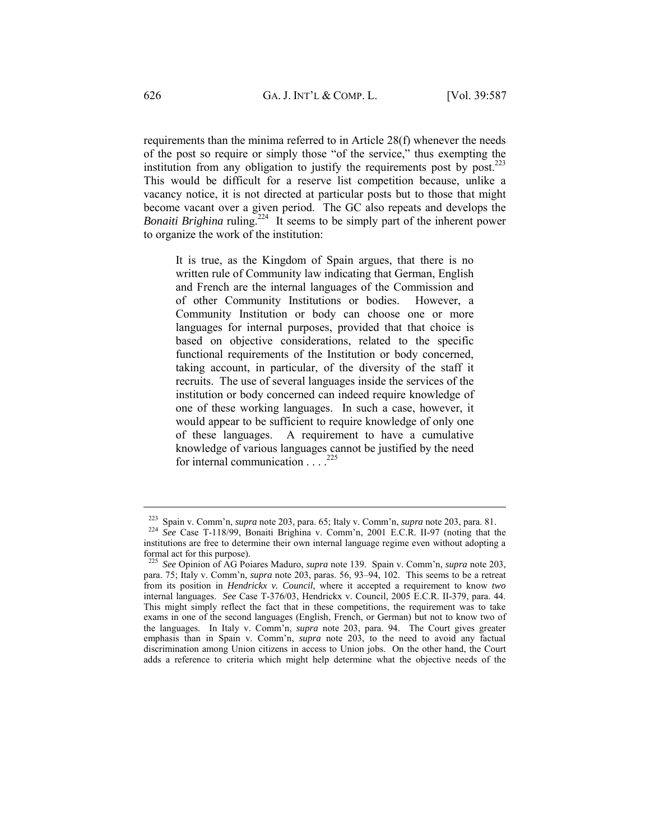requirements than the minima referred to in Article 28(f) whenever the needs of the post so require or simply those "of the service," thus exempting the institution from any obligation to justify the requirements post by post.<sup>223</sup> This would be difficult for a reserve list competition because, unlike a vacancy notice, it is not directed at particular posts but to those that might become vacant over a given period. The GC also repeats and develops the *Bonaiti Brighina* ruling.<sup>224</sup> It seems to be simply part of the inherent power to organize the work of the institution:

It is true, as the Kingdom of Spain argues, that there is no written rule of Community law indicating that German, English and French are the internal languages of the Commission and of other Community Institutions or bodies. However, a Community Institution or body can choose one or more languages for internal purposes, provided that that choice is based on objective considerations, related to the specific functional requirements of the Institution or body concerned, taking account, in particular, of the diversity of the staff it recruits. The use of several languages inside the services of the institution or body concerned can indeed require knowledge of one of these working languages. In such a case, however, it would appear to be sufficient to require knowledge of only one of these languages. A requirement to have a cumulative knowledge of various languages cannot be justified by the need for internal communication  $\ldots$ <sup>225</sup>

<sup>223</sup> Spain v. Comm'n, *supra* note 203, para. 65; Italy v. Comm'n, *supra* note 203, para. 81. 224 *See* Case T-118/99, Bonaiti Brighina v. Comm'n, 2001 E.C.R. II-97 (noting that the institutions are free to determine their own internal language regime even without adopting a formal act for this purpose).

<sup>225</sup> *See* Opinion of AG Poiares Maduro, *supra* note 139. Spain v. Comm'n, *supra* note 203, para. 75; Italy v. Comm'n, *supra* note 203, paras. 56, 93–94, 102. This seems to be a retreat from its position in *Hendrickx v. Council*, where it accepted a requirement to know *two* internal languages. *See* Case T-376/03, Hendrickx v. Council, 2005 E.C.R. II-379, para. 44. This might simply reflect the fact that in these competitions, the requirement was to take exams in one of the second languages (English, French, or German) but not to know two of the languages. In Italy v. Comm'n, *supra* note 203, para. 94. The Court gives greater emphasis than in Spain v. Comm'n, *supra* note 203, to the need to avoid any factual discrimination among Union citizens in access to Union jobs. On the other hand, the Court adds a reference to criteria which might help determine what the objective needs of the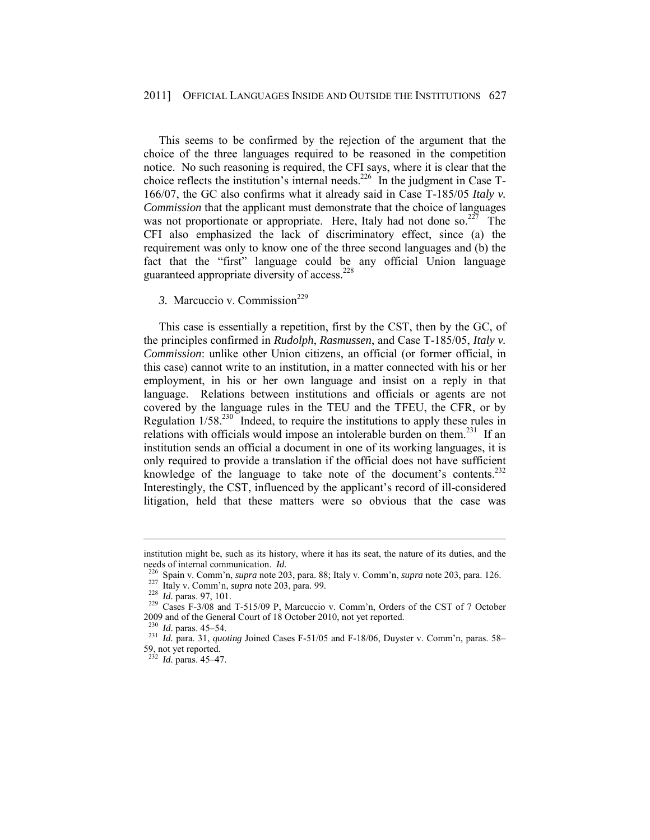#### 2011] OFFICIAL LANGUAGES INSIDE AND OUTSIDE THE INSTITUTIONS 627

This seems to be confirmed by the rejection of the argument that the choice of the three languages required to be reasoned in the competition notice. No such reasoning is required, the CFI says, where it is clear that the choice reflects the institution's internal needs.<sup>226</sup> In the judgment in Case  $T$ -166/07, the GC also confirms what it already said in Case T-185/05 *Italy v. Commission* that the applicant must demonstrate that the choice of languages was not proportionate or appropriate. Here, Italy had not done so. $227$  The CFI also emphasized the lack of discriminatory effect, since (a) the requirement was only to know one of the three second languages and (b) the fact that the "first" language could be any official Union language guaranteed appropriate diversity of access.228

## 3. Marcuccio v. Commission<sup>229</sup>

This case is essentially a repetition, first by the CST, then by the GC, of the principles confirmed in *Rudolph*, *Rasmussen*, and Case T-185/05, *Italy v. Commission*: unlike other Union citizens, an official (or former official, in this case) cannot write to an institution, in a matter connected with his or her employment, in his or her own language and insist on a reply in that language. Relations between institutions and officials or agents are not covered by the language rules in the TEU and the TFEU, the CFR, or by Regulation  $1/58<sup>230</sup>$  Indeed, to require the institutions to apply these rules in relations with officials would impose an intolerable burden on them.<sup>231</sup> If an institution sends an official a document in one of its working languages, it is only required to provide a translation if the official does not have sufficient knowledge of the language to take note of the document's contents.<sup>232</sup> Interestingly, the CST, influenced by the applicant's record of ill-considered litigation, held that these matters were so obvious that the case was

institution might be, such as its history, where it has its seat, the nature of its duties, and the

needs of internal communication. *Id.*<br><sup>226</sup> Spain v. Comm'n, *supra* note 203, para. 88; Italy v. Comm'n, *supra* note 203, para. 126.<br><sup>227</sup> Italy v. Comm'n, *supra* note 203, para. 99.<br><sup>228</sup> *Id.* paras. 97, 101.<br><sup>229</sup> C 2009 and of the General Court of 18 October 2010, not yet reported.

<sup>230</sup> *Id.* paras. 45–54. 231 *Id.* para. 31, *quoting* Joined Cases F-51/05 and F-18/06, Duyster v. Comm'n, paras. 58– 59, not yet reported.

<sup>232</sup> *Id.* paras. 45–47.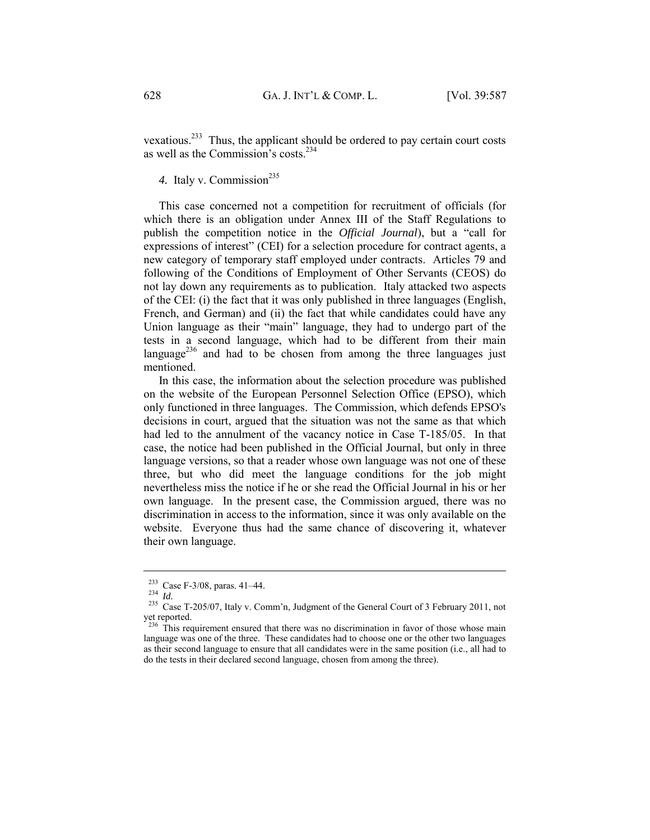vexatious.233 Thus, the applicant should be ordered to pay certain court costs as well as the Commission's costs.234

4. Italy v. Commission<sup>235</sup>

This case concerned not a competition for recruitment of officials (for which there is an obligation under Annex III of the Staff Regulations to publish the competition notice in the *Official Journal*), but a "call for expressions of interest" (CEI) for a selection procedure for contract agents, a new category of temporary staff employed under contracts. Articles 79 and following of the Conditions of Employment of Other Servants (CEOS) do not lay down any requirements as to publication. Italy attacked two aspects of the CEI: (i) the fact that it was only published in three languages (English, French, and German) and (ii) the fact that while candidates could have any Union language as their "main" language, they had to undergo part of the tests in a second language, which had to be different from their main language<sup>236</sup> and had to be chosen from among the three languages just mentioned.

In this case, the information about the selection procedure was published on the website of the European Personnel Selection Office (EPSO), which only functioned in three languages. The Commission, which defends EPSO's decisions in court, argued that the situation was not the same as that which had led to the annulment of the vacancy notice in Case T-185/05. In that case, the notice had been published in the Official Journal, but only in three language versions, so that a reader whose own language was not one of these three, but who did meet the language conditions for the job might nevertheless miss the notice if he or she read the Official Journal in his or her own language. In the present case, the Commission argued, there was no discrimination in access to the information, since it was only available on the website. Everyone thus had the same chance of discovering it, whatever their own language.

<sup>&</sup>lt;sup>233</sup> Case F-3/08, paras. 41–44.<br><sup>234</sup> *Id. Id.* 235 Case T-205/07, Italy v. Comm'n, Judgment of the General Court of 3 February 2011, not yet reported.

 $^{236}$  This requirement ensured that there was no discrimination in favor of those whose main language was one of the three. These candidates had to choose one or the other two languages as their second language to ensure that all candidates were in the same position (i.e., all had to do the tests in their declared second language, chosen from among the three).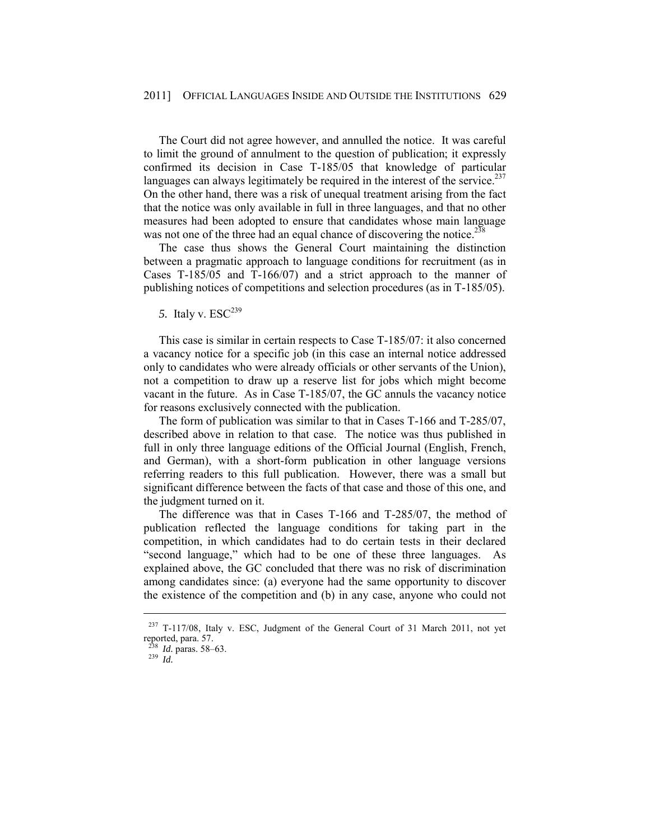The Court did not agree however, and annulled the notice. It was careful to limit the ground of annulment to the question of publication; it expressly confirmed its decision in Case T-185/05 that knowledge of particular languages can always legitimately be required in the interest of the service.<sup>237</sup> On the other hand, there was a risk of unequal treatment arising from the fact that the notice was only available in full in three languages, and that no other measures had been adopted to ensure that candidates whose main language was not one of the three had an equal chance of discovering the notice.<sup>238</sup>

The case thus shows the General Court maintaining the distinction between a pragmatic approach to language conditions for recruitment (as in Cases T-185/05 and T-166/07) and a strict approach to the manner of publishing notices of competitions and selection procedures (as in T-185/05).

5. Italy v.  $\text{ESC}^{239}$ 

This case is similar in certain respects to Case T-185/07: it also concerned a vacancy notice for a specific job (in this case an internal notice addressed only to candidates who were already officials or other servants of the Union), not a competition to draw up a reserve list for jobs which might become vacant in the future. As in Case T-185/07, the GC annuls the vacancy notice for reasons exclusively connected with the publication.

The form of publication was similar to that in Cases T-166 and T-285/07, described above in relation to that case. The notice was thus published in full in only three language editions of the Official Journal (English, French, and German), with a short-form publication in other language versions referring readers to this full publication. However, there was a small but significant difference between the facts of that case and those of this one, and the judgment turned on it.

The difference was that in Cases T-166 and T-285/07, the method of publication reflected the language conditions for taking part in the competition, in which candidates had to do certain tests in their declared "second language," which had to be one of these three languages. As explained above, the GC concluded that there was no risk of discrimination among candidates since: (a) everyone had the same opportunity to discover the existence of the competition and (b) in any case, anyone who could not

<sup>237</sup> T-117/08, Italy v. ESC, Judgment of the General Court of 31 March 2011, not yet reported, para. 57.

<sup>238</sup> *Id.* paras. 58–63. 239 *Id.*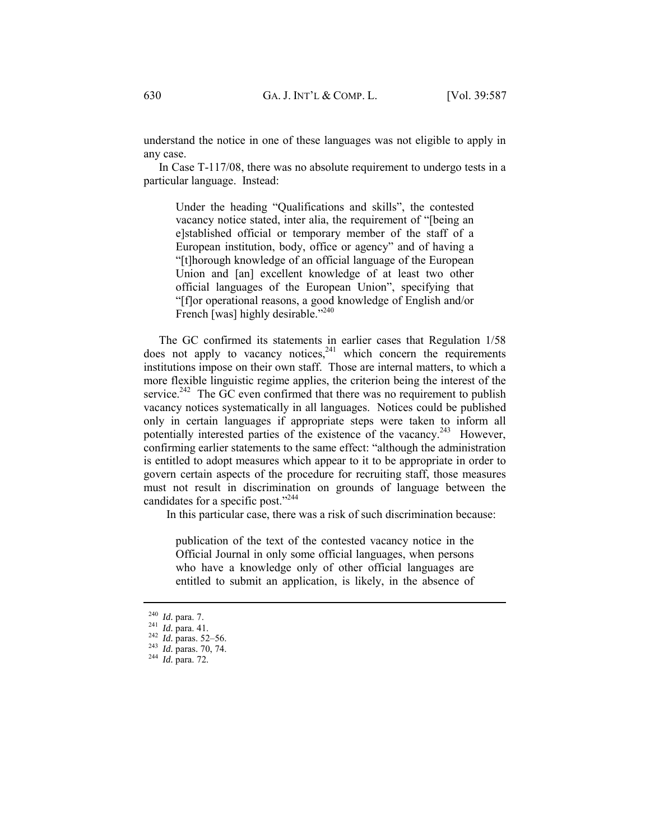understand the notice in one of these languages was not eligible to apply in any case.

In Case T-117/08, there was no absolute requirement to undergo tests in a particular language. Instead:

Under the heading "Qualifications and skills", the contested vacancy notice stated, inter alia, the requirement of "[being an e]stablished official or temporary member of the staff of a European institution, body, office or agency" and of having a "[t]horough knowledge of an official language of the European Union and [an] excellent knowledge of at least two other official languages of the European Union", specifying that "[f]or operational reasons, a good knowledge of English and/or French [was] highly desirable."<sup>240</sup>

The GC confirmed its statements in earlier cases that Regulation 1/58  $\frac{1}{2}$  does not apply to vacancy notices, $2^{41}$  which concern the requirements institutions impose on their own staff. Those are internal matters, to which a more flexible linguistic regime applies, the criterion being the interest of the service.<sup>242</sup> The GC even confirmed that there was no requirement to publish vacancy notices systematically in all languages. Notices could be published only in certain languages if appropriate steps were taken to inform all potentially interested parties of the existence of the vacancy.<sup>243</sup> However, confirming earlier statements to the same effect: "although the administration is entitled to adopt measures which appear to it to be appropriate in order to govern certain aspects of the procedure for recruiting staff, those measures must not result in discrimination on grounds of language between the candidates for a specific post."<sup>244</sup>

In this particular case, there was a risk of such discrimination because:

publication of the text of the contested vacancy notice in the Official Journal in only some official languages, when persons who have a knowledge only of other official languages are entitled to submit an application, is likely, in the absence of

<sup>240</sup> *Id.* para. 7. 241 *Id.* para. 41. 242 *Id.* paras. 52–56. 243 *Id.* paras. 70, 74. 244 *Id.* para. 72.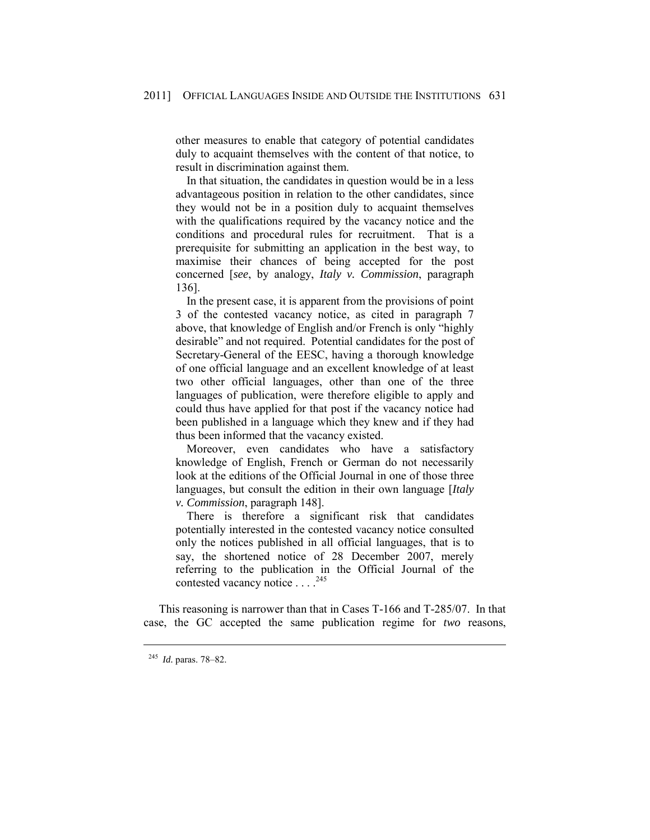other measures to enable that category of potential candidates duly to acquaint themselves with the content of that notice, to result in discrimination against them.

 In that situation, the candidates in question would be in a less advantageous position in relation to the other candidates, since they would not be in a position duly to acquaint themselves with the qualifications required by the vacancy notice and the conditions and procedural rules for recruitment. That is a prerequisite for submitting an application in the best way, to maximise their chances of being accepted for the post concerned [*see*, by analogy, *Italy v. Commission*, paragraph 136].

 In the present case, it is apparent from the provisions of point 3 of the contested vacancy notice, as cited in paragraph 7 above, that knowledge of English and/or French is only "highly desirable" and not required. Potential candidates for the post of Secretary-General of the EESC, having a thorough knowledge of one official language and an excellent knowledge of at least two other official languages, other than one of the three languages of publication, were therefore eligible to apply and could thus have applied for that post if the vacancy notice had been published in a language which they knew and if they had thus been informed that the vacancy existed.

 Moreover, even candidates who have a satisfactory knowledge of English, French or German do not necessarily look at the editions of the Official Journal in one of those three languages, but consult the edition in their own language [*Italy v. Commission*, paragraph 148].

 There is therefore a significant risk that candidates potentially interested in the contested vacancy notice consulted only the notices published in all official languages, that is to say, the shortened notice of 28 December 2007, merely referring to the publication in the Official Journal of the contested vacancy notice . . . . <sup>245</sup>

This reasoning is narrower than that in Cases T-166 and T-285/07. In that case, the GC accepted the same publication regime for *two* reasons,

<sup>245</sup> *Id.* paras. 78–82.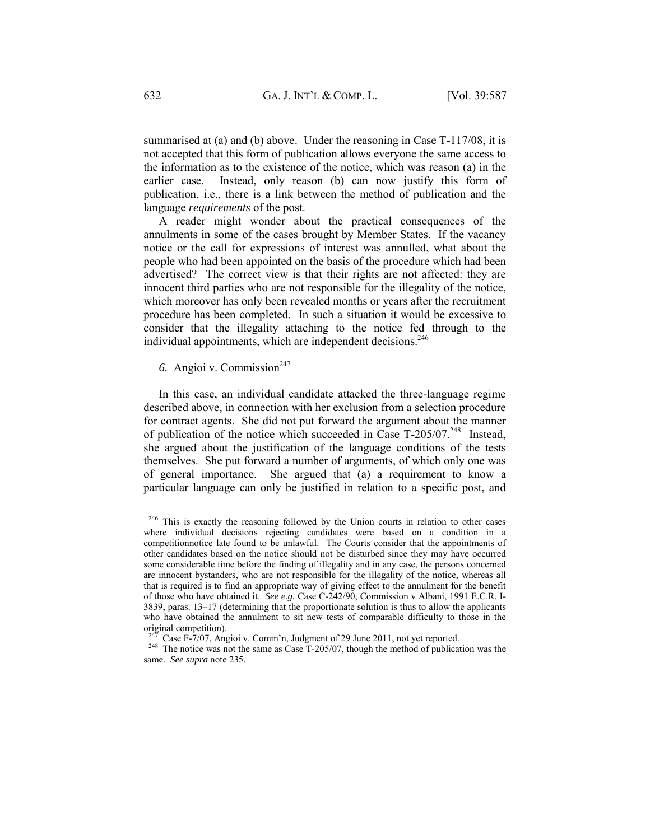summarised at (a) and (b) above. Under the reasoning in Case T-117/08, it is not accepted that this form of publication allows everyone the same access to the information as to the existence of the notice, which was reason (a) in the earlier case. Instead, only reason (b) can now justify this form of publication, i.e., there is a link between the method of publication and the language *requirements* of the post.

A reader might wonder about the practical consequences of the annulments in some of the cases brought by Member States. If the vacancy notice or the call for expressions of interest was annulled, what about the people who had been appointed on the basis of the procedure which had been advertised? The correct view is that their rights are not affected: they are innocent third parties who are not responsible for the illegality of the notice, which moreover has only been revealed months or years after the recruitment procedure has been completed. In such a situation it would be excessive to consider that the illegality attaching to the notice fed through to the individual appointments, which are independent decisions.<sup>246</sup>

# 6. Angioi v. Commission<sup>247</sup>

In this case, an individual candidate attacked the three-language regime described above, in connection with her exclusion from a selection procedure for contract agents. She did not put forward the argument about the manner of publication of the notice which succeeded in Case T-205/07.<sup>248</sup> Instead, she argued about the justification of the language conditions of the tests themselves. She put forward a number of arguments, of which only one was of general importance. She argued that (a) a requirement to know a particular language can only be justified in relation to a specific post, and

<sup>&</sup>lt;sup>246</sup> This is exactly the reasoning followed by the Union courts in relation to other cases where individual decisions rejecting candidates were based on a condition in a competitionnotice late found to be unlawful. The Courts consider that the appointments of other candidates based on the notice should not be disturbed since they may have occurred some considerable time before the finding of illegality and in any case, the persons concerned are innocent bystanders, who are not responsible for the illegality of the notice, whereas all that is required is to find an appropriate way of giving effect to the annulment for the benefit of those who have obtained it. *See e.g.* Case C-242/90, Commission v Albani, 1991 E.C.R. I-3839, paras. 13–17 (determining that the proportionate solution is thus to allow the applicants who have obtained the annulment to sit new tests of comparable difficulty to those in the original competition).

<sup>&</sup>lt;sup>247</sup> Case F-7/07, Angioi v. Comm'n, Judgment of 29 June 2011, not yet reported.<br><sup>248</sup> The notice was not the same as Case T-205/07, though the method of publication was the same. *See supra* note 235.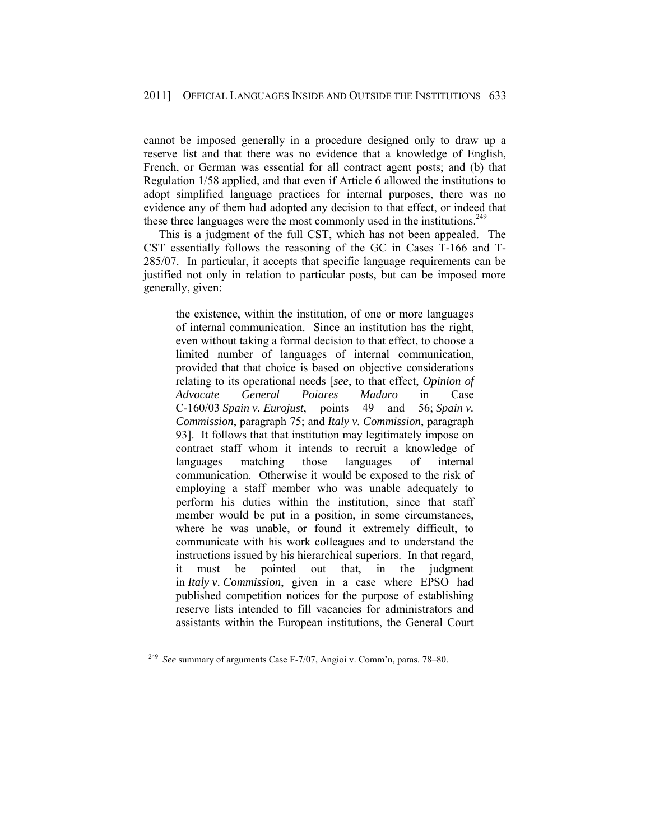cannot be imposed generally in a procedure designed only to draw up a reserve list and that there was no evidence that a knowledge of English, French, or German was essential for all contract agent posts; and (b) that Regulation 1/58 applied, and that even if Article 6 allowed the institutions to adopt simplified language practices for internal purposes, there was no evidence any of them had adopted any decision to that effect, or indeed that these three languages were the most commonly used in the institutions.<sup>249</sup>

This is a judgment of the full CST, which has not been appealed. The CST essentially follows the reasoning of the GC in Cases T-166 and T-285/07. In particular, it accepts that specific language requirements can be justified not only in relation to particular posts, but can be imposed more generally, given:

the existence, within the institution, of one or more languages of internal communication. Since an institution has the right, even without taking a formal decision to that effect, to choose a limited number of languages of internal communication, provided that that choice is based on objective considerations relating to its operational needs [*see*, to that effect, *Opinion of Advocate General Poiares Maduro* in Case C-160/03 *Spain v. Eurojust*, points 49 and 56; *Spain v. Commission*, paragraph 75; and *Italy v. Commission*, paragraph 93]. It follows that that institution may legitimately impose on contract staff whom it intends to recruit a knowledge of languages matching those languages of internal communication. Otherwise it would be exposed to the risk of employing a staff member who was unable adequately to perform his duties within the institution, since that staff member would be put in a position, in some circumstances, where he was unable, or found it extremely difficult, to communicate with his work colleagues and to understand the instructions issued by his hierarchical superiors. In that regard, it must be pointed out that, in the judgment in *Italy v. Commission*, given in a case where EPSO had published competition notices for the purpose of establishing reserve lists intended to fill vacancies for administrators and assistants within the European institutions, the General Court

<sup>249</sup> *See* summary of arguments Case F-7/07, Angioi v. Comm'n, paras. 78–80.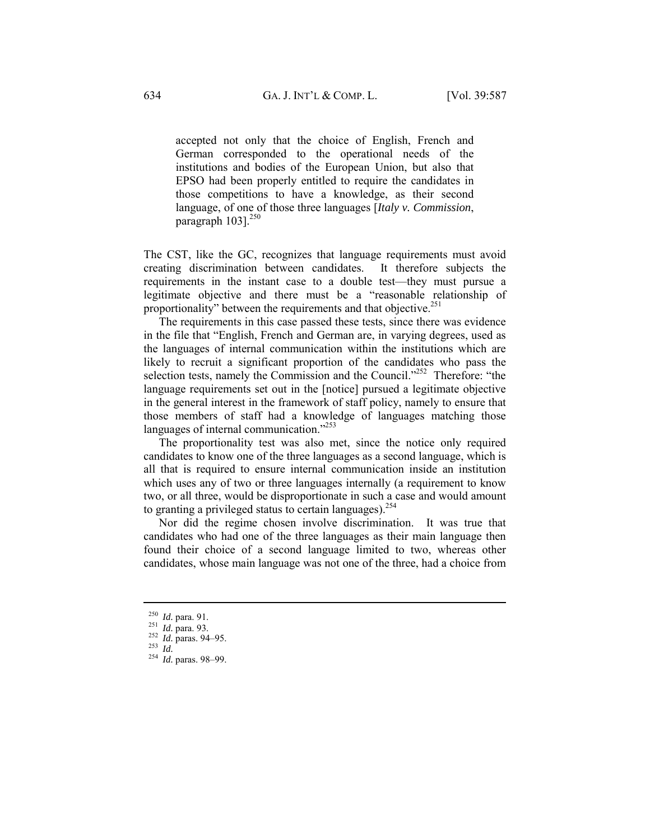accepted not only that the choice of English, French and German corresponded to the operational needs of the institutions and bodies of the European Union, but also that EPSO had been properly entitled to require the candidates in those competitions to have a knowledge, as their second language, of one of those three languages [*Italy v. Commission*, paragraph 103].<sup>250</sup>

The CST, like the GC, recognizes that language requirements must avoid creating discrimination between candidates. It therefore subjects the requirements in the instant case to a double test—they must pursue a legitimate objective and there must be a "reasonable relationship of proportionality" between the requirements and that objective.<sup>251</sup>

The requirements in this case passed these tests, since there was evidence in the file that "English, French and German are, in varying degrees, used as the languages of internal communication within the institutions which are likely to recruit a significant proportion of the candidates who pass the selection tests, namely the Commission and the Council."<sup>252</sup> Therefore: "the language requirements set out in the [notice] pursued a legitimate objective in the general interest in the framework of staff policy, namely to ensure that those members of staff had a knowledge of languages matching those languages of internal communication."<sup>253</sup>

The proportionality test was also met, since the notice only required candidates to know one of the three languages as a second language, which is all that is required to ensure internal communication inside an institution which uses any of two or three languages internally (a requirement to know two, or all three, would be disproportionate in such a case and would amount to granting a privileged status to certain languages). $254$ 

Nor did the regime chosen involve discrimination. It was true that candidates who had one of the three languages as their main language then found their choice of a second language limited to two, whereas other candidates, whose main language was not one of the three, had a choice from

<sup>250</sup> *Id.* para. 91. 251 *Id.* para. 93. 252 *Id.* paras. 94–95. 253 *Id.*<sup>254</sup> *Id.* paras. 98–99.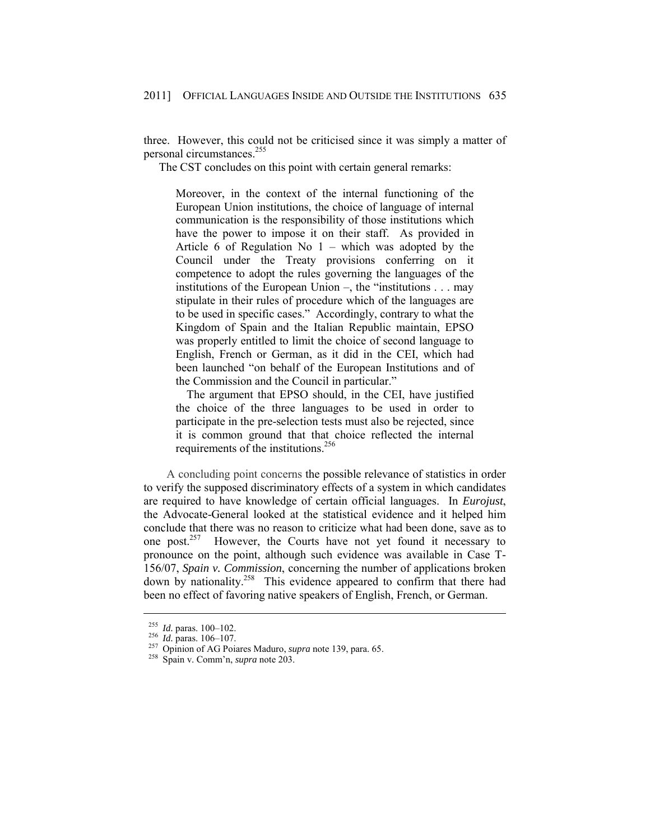three. However, this could not be criticised since it was simply a matter of personal circumstances.255

The CST concludes on this point with certain general remarks:

Moreover, in the context of the internal functioning of the European Union institutions, the choice of language of internal communication is the responsibility of those institutions which have the power to impose it on their staff. As provided in Article 6 of Regulation No  $1$  – which was adopted by the Council under the Treaty provisions conferring on it competence to adopt the rules governing the languages of the institutions of the European Union –, the "institutions . . . may stipulate in their rules of procedure which of the languages are to be used in specific cases." Accordingly, contrary to what the Kingdom of Spain and the Italian Republic maintain, EPSO was properly entitled to limit the choice of second language to English, French or German, as it did in the CEI, which had been launched "on behalf of the European Institutions and of the Commission and the Council in particular."

 The argument that EPSO should, in the CEI, have justified the choice of the three languages to be used in order to participate in the pre-selection tests must also be rejected, since it is common ground that that choice reflected the internal requirements of the institutions.<sup>256</sup>

 A concluding point concerns the possible relevance of statistics in order to verify the supposed discriminatory effects of a system in which candidates are required to have knowledge of certain official languages. In *Eurojust*, the Advocate-General looked at the statistical evidence and it helped him conclude that there was no reason to criticize what had been done, save as to one post.<sup>257</sup> However, the Courts have not yet found it necessary to pronounce on the point, although such evidence was available in Case T-156/07, *Spain v. Commission*, concerning the number of applications broken down by nationality.<sup>258</sup> This evidence appeared to confirm that there had been no effect of favoring native speakers of English, French, or German.

<sup>255</sup> *Id.* paras. 100–102. 256 *Id.* paras. 106–107. 257 Opinion of AG Poiares Maduro, *supra* note 139, para. 65. 258 Spain v. Comm'n, *supra* note 203.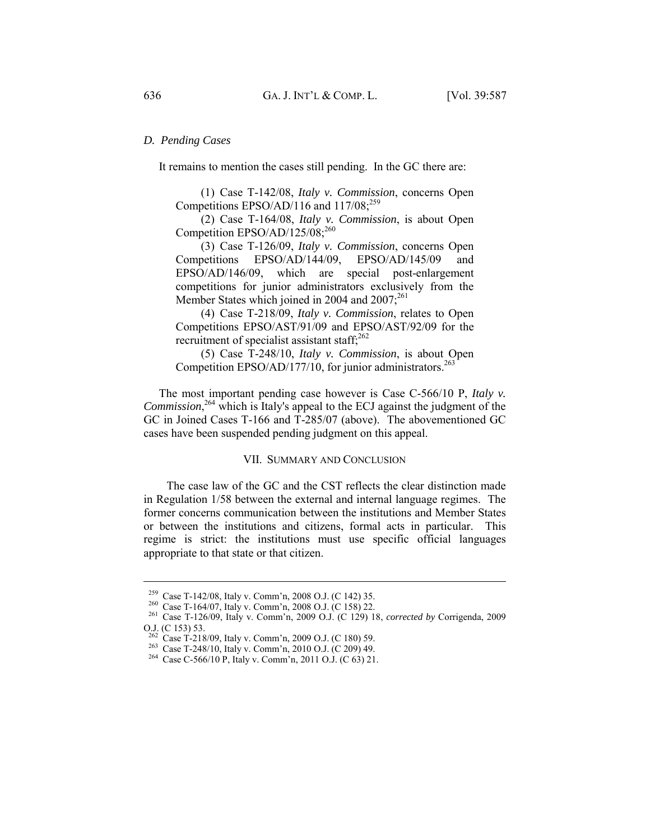#### *D. Pending Cases*

It remains to mention the cases still pending. In the GC there are:

 (1) Case T-142/08, *Italy v. Commission*, concerns Open Competitions EPSO/AD/116 and  $117/08$ ;<sup>259</sup>

 (2) Case T-164/08, *Italy v. Commission*, is about Open Competition EPSO/AD/125/08;<sup>260</sup>

 (3) Case T-126/09, *Italy v. Commission*, concerns Open Competitions EPSO/AD/144/09, EPSO/AD/145/09 and EPSO/AD/146/09, which are special post-enlargement competitions for junior administrators exclusively from the Member States which joined in 2004 and  $2007$ ;<sup>261</sup>

 (4) Case T-218/09, *Italy v. Commission*, relates to Open Competitions EPSO/AST/91/09 and EPSO/AST/92/09 for the recruitment of specialist assistant staff; $262$ 

 (5) Case T-248/10, *Italy v. Commission*, is about Open Competition EPSO/AD/177/10, for junior administrators.<sup>263</sup>

The most important pending case however is Case C-566/10 P, *Italy v.*  Commission,<sup>264</sup> which is Italy's appeal to the ECJ against the judgment of the GC in Joined Cases T-166 and T-285/07 (above). The abovementioned GC cases have been suspended pending judgment on this appeal.

#### VII. SUMMARY AND CONCLUSION

 The case law of the GC and the CST reflects the clear distinction made in Regulation 1/58 between the external and internal language regimes. The former concerns communication between the institutions and Member States or between the institutions and citizens, formal acts in particular. This regime is strict: the institutions must use specific official languages appropriate to that state or that citizen.

<sup>259</sup> Case T-142/08, Italy v. Comm'n, 2008 O.J. (C 142) 35. 260 Case T-164/07, Italy v. Comm'n, 2008 O.J. (C 158) 22. 261 Case T-126/09, Italy v. Comm'n, 2009 O.J. (C 129) 18, *corrected by* Corrigenda, 2009 O.J. (C 153) 53.<br><sup>262</sup> Case T-218/09, Italy v. Comm'n, 2009 O.J. (C 180) 59.

<sup>&</sup>lt;sup>263</sup> Case T-248/10, Italy v. Comm'n, 2010 O.J. (C 209) 49. <sup>264</sup> Case C-566/10 P, Italy v. Comm'n, 2011 O.J. (C 63) 21.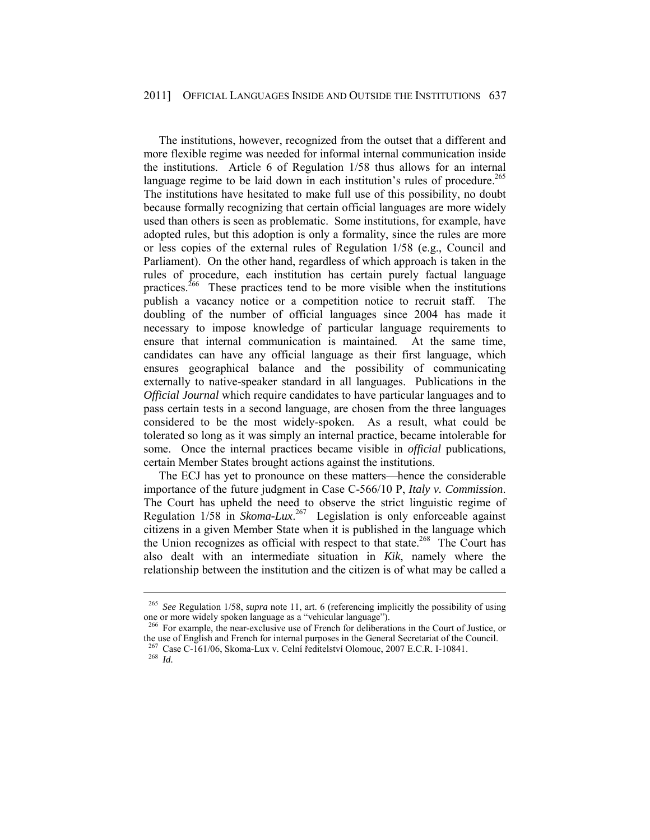The institutions, however, recognized from the outset that a different and more flexible regime was needed for informal internal communication inside the institutions. Article 6 of Regulation 1/58 thus allows for an internal language regime to be laid down in each institution's rules of procedure.<sup>265</sup> The institutions have hesitated to make full use of this possibility, no doubt because formally recognizing that certain official languages are more widely used than others is seen as problematic. Some institutions, for example, have adopted rules, but this adoption is only a formality, since the rules are more or less copies of the external rules of Regulation 1/58 (e.g., Council and Parliament). On the other hand, regardless of which approach is taken in the rules of procedure, each institution has certain purely factual language practices.<sup>266</sup> These practices tend to be more visible when the institutions publish a vacancy notice or a competition notice to recruit staff. The doubling of the number of official languages since 2004 has made it necessary to impose knowledge of particular language requirements to ensure that internal communication is maintained. At the same time, candidates can have any official language as their first language, which ensures geographical balance and the possibility of communicating externally to native-speaker standard in all languages. Publications in the *Official Journal* which require candidates to have particular languages and to pass certain tests in a second language, are chosen from the three languages considered to be the most widely-spoken. As a result, what could be tolerated so long as it was simply an internal practice, became intolerable for some. Once the internal practices became visible in *official* publications, certain Member States brought actions against the institutions.

The ECJ has yet to pronounce on these matters—hence the considerable importance of the future judgment in Case C-566/10 P, *Italy v. Commission*. The Court has upheld the need to observe the strict linguistic regime of Regulation 1/58 in *Skoma-Lux*. 267 Legislation is only enforceable against citizens in a given Member State when it is published in the language which the Union recognizes as official with respect to that state.<sup>268</sup> The Court has also dealt with an intermediate situation in *Kik*, namely where the relationship between the institution and the citizen is of what may be called a

<sup>265</sup> *See* Regulation 1/58, *supra* note 11, art. 6 (referencing implicitly the possibility of using one or more widely spoken language as a "vehicular language").

<sup>&</sup>lt;sup>266</sup> For example, the near-exclusive use of French for deliberations in the Court of Justice, or the use of English and French for internal purposes in the General Secretariat of the Council. 267 Case C-161/06, Skoma-Lux v. Celní ředitelství Olomouc, 2007 E.C.R. I-10841. 268 *Id.*